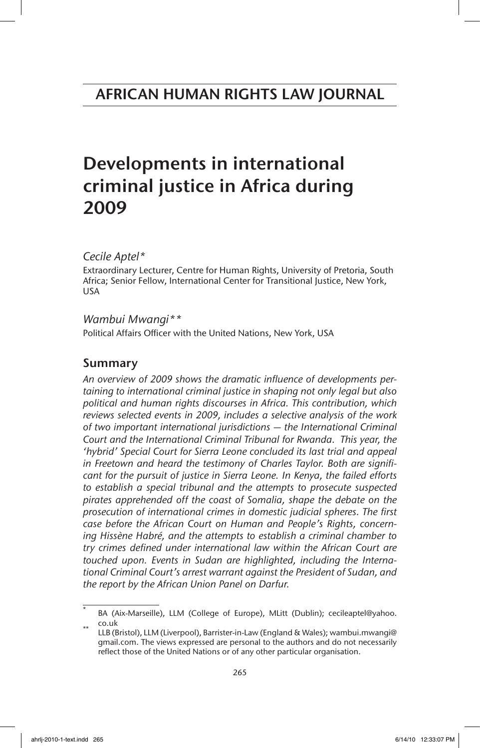# Developments in international criminal justice in Africa during 2009

*Cecile Aptel\**

Extraordinary Lecturer, Centre for Human Rights, University of Pretoria, South Africa; Senior Fellow, International Center for Transitional Justice, New York, USA

# *Wambui Mwangi\*\**

Political Affairs Officer with the United Nations, New York, USA

# Summary

*An overview of 2009 shows the dramatic influence of developments pertaining to international criminal justice in shaping not only legal but also political and human rights discourses in Africa. This contribution, which reviews selected events in 2009, includes a selective analysis of the work of two important international jurisdictions — the International Criminal Court and the International Criminal Tribunal for Rwanda. This year, the 'hybrid' Special Court for Sierra Leone concluded its last trial and appeal in Freetown and heard the testimony of Charles Taylor. Both are significant for the pursuit of justice in Sierra Leone. In Kenya, the failed efforts to establish a special tribunal and the attempts to prosecute suspected pirates apprehended off the coast of Somalia, shape the debate on the prosecution of international crimes in domestic judicial spheres. The first case before the African Court on Human and People's Rights, concerning Hissène Habré, and the attempts to establish a criminal chamber to try crimes defined under international law within the African Court are touched upon. Events in Sudan are highlighted, including the International Criminal Court's arrest warrant against the President of Sudan, and the report by the African Union Panel on Darfur.* 

BA (Aix-Marseille), LLM (College of Europe), MLitt (Dublin); cecileaptel@yahoo. co.uk<br>LLB (Bristol), LLM (Liverpool), Barrister-in-Law (England & Wales); wambui.mwangi@

gmail.com. The views expressed are personal to the authors and do not necessarily reflect those of the United Nations or of any other particular organisation.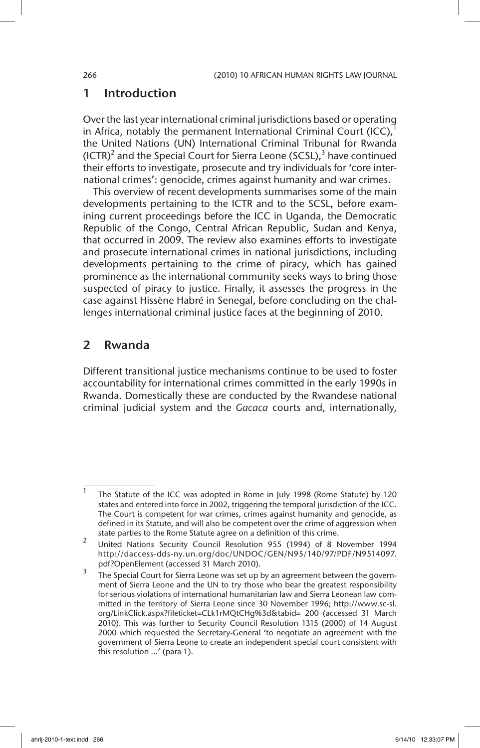# 1 Introduction

Over the last year international criminal jurisdictions based or operating in Africa, notably the permanent International Criminal Court (ICC), $^1$ the United Nations (UN) International Criminal Tribunal for Rwanda (ICTR)<sup>2</sup> and the Special Court for Sierra Leone (SCSL),<sup>3</sup> have continued their efforts to investigate, prosecute and try individuals for 'core international crimes': genocide, crimes against humanity and war crimes.

This overview of recent developments summarises some of the main developments pertaining to the ICTR and to the SCSL, before examining current proceedings before the ICC in Uganda, the Democratic Republic of the Congo, Central African Republic, Sudan and Kenya, that occurred in 2009. The review also examines efforts to investigate and prosecute international crimes in national jurisdictions, including developments pertaining to the crime of piracy, which has gained prominence as the international community seeks ways to bring those suspected of piracy to justice. Finally, it assesses the progress in the case against Hissène Habré in Senegal, before concluding on the challenges international criminal justice faces at the beginning of 2010.

# 2 Rwanda

Different transitional justice mechanisms continue to be used to foster accountability for international crimes committed in the early 1990s in Rwanda. Domestically these are conducted by the Rwandese national criminal judicial system and the *Gacaca* courts and, internationally,

The Statute of the ICC was adopted in Rome in July 1998 (Rome Statute) by 120 states and entered into force in 2002, triggering the temporal jurisdiction of the ICC. The Court is competent for war crimes, crimes against humanity and genocide, as defined in its Statute, and will also be competent over the crime of aggression when state parties to the Rome Statute agree on a definition of this crime.

<sup>&</sup>lt;sup>2</sup> United Nations Security Council Resolution 955 (1994) of 8 November 1994 http://daccess-dds-ny.un.org/doc/UNDOC/GEN/N95/140/97/PDF/N9514097. pdf?OpenElement (accessed 31 March 2010).

The Special Court for Sierra Leone was set up by an agreement between the government of Sierra Leone and the UN to try those who bear the greatest responsibility for serious violations of international humanitarian law and Sierra Leonean law committed in the territory of Sierra Leone since 30 November 1996; http://www.sc-sl. org/LinkClick.aspx?fileticket=CLk1rMQtCHg%3d&tabid= 200 (accessed 31 March 2010). This was further to Security Council Resolution 1315 (2000) of 14 August 2000 which requested the Secretary-General 'to negotiate an agreement with the government of Sierra Leone to create an independent special court consistent with this resolution …' (para 1).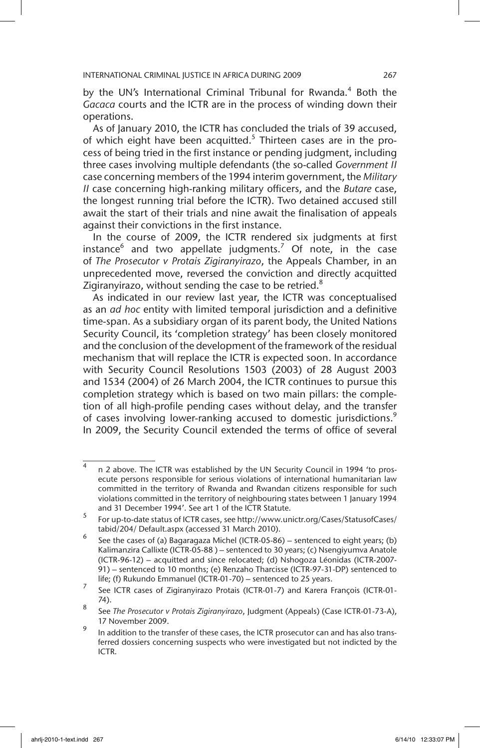by the UN's International Criminal Tribunal for Rwanda.<sup>4</sup> Both the *Gacaca* courts and the ICTR are in the process of winding down their operations.

As of January 2010, the ICTR has concluded the trials of 39 accused, of which eight have been acquitted. $5$  Thirteen cases are in the process of being tried in the first instance or pending judgment, including three cases involving multiple defendants (the so-called *Government II* case concerning members of the 1994 interim government, the *Military II* case concerning high-ranking military officers, and the *Butare* case, the longest running trial before the ICTR). Two detained accused still await the start of their trials and nine await the finalisation of appeals against their convictions in the first instance.

In the course of 2009, the ICTR rendered six judgments at first instance<sup>6</sup> and two appellate judgments.<sup>7</sup> Of note, in the case of *The Prosecutor v Protais Zigiranyirazo*, the Appeals Chamber, in an unprecedented move, reversed the conviction and directly acquitted Zigiranyirazo, without sending the case to be retried.<sup>8</sup>

As indicated in our review last year, the ICTR was conceptualised as an *ad hoc* entity with limited temporal jurisdiction and a definitive time-span. As a subsidiary organ of its parent body, the United Nations Security Council, its 'completion strategy' has been closely monitored and the conclusion of the development of the framework of the residual mechanism that will replace the ICTR is expected soon. In accordance with Security Council Resolutions 1503 (2003) of 28 August 2003 and 1534 (2004) of 26 March 2004, the ICTR continues to pursue this completion strategy which is based on two main pillars: the completion of all high-profile pending cases without delay, and the transfer of cases involving lower-ranking accused to domestic jurisdictions.<sup>9</sup> In 2009, the Security Council extended the terms of office of several

<sup>4</sup> n 2 above. The ICTR was established by the UN Security Council in 1994 'to prosecute persons responsible for serious violations of international humanitarian law committed in the territory of Rwanda and Rwandan citizens responsible for such violations committed in the territory of neighbouring states between 1 January 1994 and 31 December 1994'. See art 1 of the ICTR Statute.

<sup>5</sup> For up-to-date status of ICTR cases, see http://www.unictr.org/Cases/StatusofCases/ tabid/204/ Default.aspx (accessed 31 March 2010).

<sup>&</sup>lt;sup>6</sup> See the cases of (a) Bagaragaza Michel (ICTR-05-86) – sentenced to eight years; (b) Kalimanzira Callixte (ICTR-05-88 ) – sentenced to 30 years; (c) Nsengiyumva Anatole (ICTR-96-12) – acquitted and since relocated; (d) Nshogoza Léonidas (ICTR-2007- 91) – sentenced to 10 months; (e) Renzaho Tharcisse (ICTR-97-31-DP) sentenced to life; (f) Rukundo Emmanuel (ICTR-01-70) – sentenced to 25 years.

<sup>7</sup> See ICTR cases of Zigiranyirazo Protais (ICTR-01-7) and Karera François (ICTR-01- 74).

<sup>8</sup> See *The Prosecutor v Protais Zigiranyirazo*, Judgment (Appeals) (Case ICTR-01-73-A), 17 November 2009.

In addition to the transfer of these cases, the ICTR prosecutor can and has also transferred dossiers concerning suspects who were investigated but not indicted by the ICTR.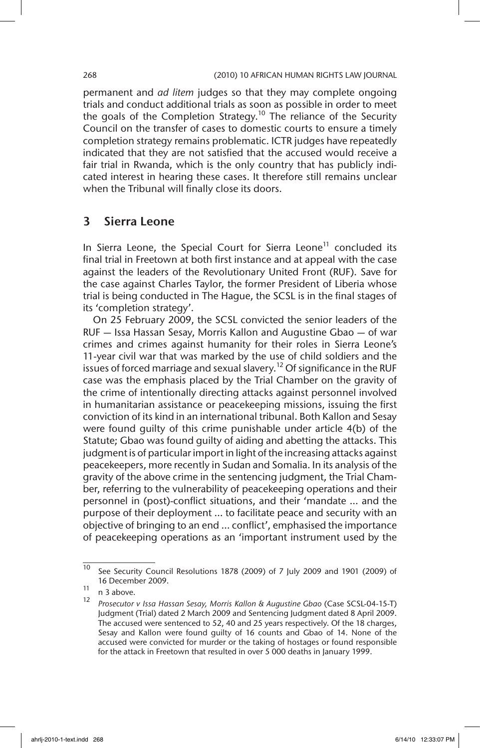permanent and *ad litem* judges so that they may complete ongoing trials and conduct additional trials as soon as possible in order to meet the goals of the Completion Strategy.<sup>10</sup> The reliance of the Security Council on the transfer of cases to domestic courts to ensure a timely completion strategy remains problematic. ICTR judges have repeatedly indicated that they are not satisfied that the accused would receive a fair trial in Rwanda, which is the only country that has publicly indicated interest in hearing these cases. It therefore still remains unclear when the Tribunal will finally close its doors.

# 3 Sierra Leone

In Sierra Leone, the Special Court for Sierra Leone<sup>11</sup> concluded its final trial in Freetown at both first instance and at appeal with the case against the leaders of the Revolutionary United Front (RUF). Save for the case against Charles Taylor, the former President of Liberia whose trial is being conducted in The Hague, the SCSL is in the final stages of its 'completion strategy'.

On 25 February 2009, the SCSL convicted the senior leaders of the RUF — Issa Hassan Sesay, Morris Kallon and Augustine Gbao — of war crimes and crimes against humanity for their roles in Sierra Leone's 11-year civil war that was marked by the use of child soldiers and the issues of forced marriage and sexual slavery.<sup>12</sup> Of significance in the RUF case was the emphasis placed by the Trial Chamber on the gravity of the crime of intentionally directing attacks against personnel involved in humanitarian assistance or peacekeeping missions, issuing the first conviction of its kind in an international tribunal. Both Kallon and Sesay were found guilty of this crime punishable under article 4(b) of the Statute; Gbao was found guilty of aiding and abetting the attacks. This judgment is of particular import in light of the increasing attacks against peacekeepers, more recently in Sudan and Somalia. In its analysis of the gravity of the above crime in the sentencing judgment, the Trial Chamber, referring to the vulnerability of peacekeeping operations and their personnel in (post)-conflict situations, and their 'mandate … and the purpose of their deployment … to facilitate peace and security with an objective of bringing to an end … conflict', emphasised the importance of peacekeeping operations as an 'important instrument used by the

 $\overline{10}$  See Security Council Resolutions 1878 (2009) of 7 July 2009 and 1901 (2009) of 16 December 2009.

 $\frac{11}{12}$  n 3 above.

<sup>12</sup> *Prosecutor v Issa Hassan Sesay, Morris Kallon & Augustine Gbao* (Case SCSL-04-15-T) Judgment (Trial) dated 2 March 2009 and Sentencing Judgment dated 8 April 2009. The accused were sentenced to 52, 40 and 25 years respectively. Of the 18 charges, Sesay and Kallon were found guilty of 16 counts and Gbao of 14. None of the accused were convicted for murder or the taking of hostages or found responsible for the attack in Freetown that resulted in over 5 000 deaths in January 1999.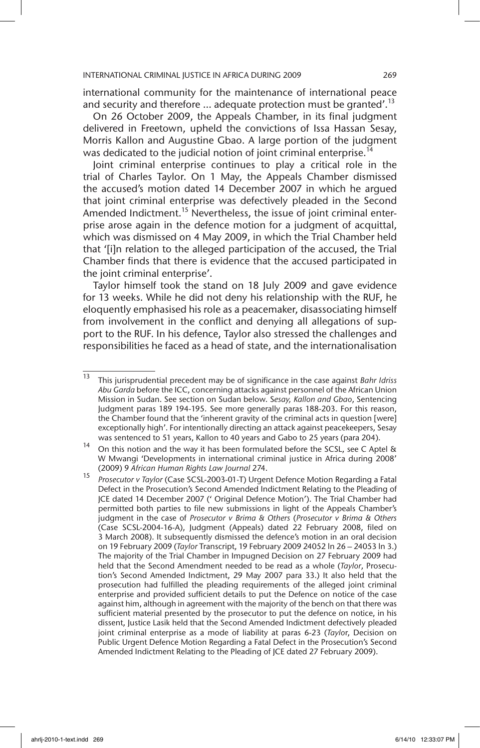international community for the maintenance of international peace and security and therefore  $\ldots$  adequate protection must be granted'.<sup>13</sup>

On 26 October 2009, the Appeals Chamber, in its final judgment delivered in Freetown, upheld the convictions of Issa Hassan Sesay, Morris Kallon and Augustine Gbao. A large portion of the judgment was dedicated to the judicial notion of joint criminal enterprise.<sup>14</sup>

Joint criminal enterprise continues to play a critical role in the trial of Charles Taylor. On 1 May, the Appeals Chamber dismissed the accused's motion dated 14 December 2007 in which he argued that joint criminal enterprise was defectively pleaded in the Second Amended Indictment.<sup>15</sup> Nevertheless, the issue of joint criminal enterprise arose again in the defence motion for a judgment of acquittal, which was dismissed on 4 May 2009, in which the Trial Chamber held that '[i]n relation to the alleged participation of the accused, the Trial Chamber finds that there is evidence that the accused participated in the joint criminal enterprise'.

Taylor himself took the stand on 18 July 2009 and gave evidence for 13 weeks. While he did not deny his relationship with the RUF, he eloquently emphasised his role as a peacemaker, disassociating himself from involvement in the conflict and denying all allegations of support to the RUF. In his defence, Taylor also stressed the challenges and responsibilities he faced as a head of state, and the internationalisation

<sup>13</sup> This jurisprudential precedent may be of significance in the case against *Bahr Idriss Abu Garda* before the ICC, concerning attacks against personnel of the African Union Mission in Sudan. See section on Sudan below. S*esay, Kallon and Gbao*, Sentencing Judgment paras 189 194-195. See more generally paras 188-203. For this reason, the Chamber found that the 'inherent gravity of the criminal acts in question [were] exceptionally high'. For intentionally directing an attack against peacekeepers, Sesay was sentenced to 51 years, Kallon to 40 years and Gabo to 25 years (para 204).

<sup>14</sup> On this notion and the way it has been formulated before the SCSL, see C Aptel & W Mwangi 'Developments in international criminal justice in Africa during 2008' (2009) 9 *African Human Rights Law Journal* 274.

<sup>15</sup> *Prosecutor v Taylor* (Case SCSL-2003-01-T) Urgent Defence Motion Regarding a Fatal Defect in the Prosecution's Second Amended Indictment Relating to the Pleading of JCE dated 14 December 2007 (' Original Defence Motion'). The Trial Chamber had permitted both parties to file new submissions in light of the Appeals Chamber's judgment in the case of *Prosecutor v Brima & Others* (*Prosecutor v Brima & Others* (Case SCSL-2004-16-A), Judgment (Appeals) dated 22 February 2008, filed on 3 March 2008). It subsequently dismissed the defence's motion in an oral decision on 19 February 2009 (*Taylor* Transcript, 19 February 2009 24052 ln 26 – 24053 ln 3.) The majority of the Trial Chamber in Impugned Decision on 27 February 2009 had held that the Second Amendment needed to be read as a whole (*Taylor*, Prosecution's Second Amended Indictment, 29 May 2007 para 33.) It also held that the prosecution had fulfilled the pleading requirements of the alleged joint criminal enterprise and provided sufficient details to put the Defence on notice of the case against him, although in agreement with the majority of the bench on that there was sufficient material presented by the prosecutor to put the defence on notice, in his dissent, Justice Lasik held that the Second Amended Indictment defectively pleaded joint criminal enterprise as a mode of liability at paras 6-23 (*Taylo*r, Decision on Public Urgent Defence Motion Regarding a Fatal Defect in the Prosecution's Second Amended Indictment Relating to the Pleading of JCE dated 27 February 2009).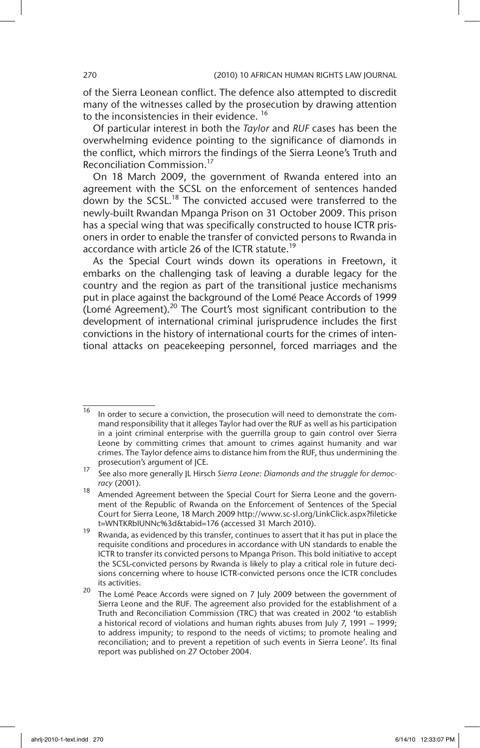of the Sierra Leonean conflict. The defence also attempted to discredit many of the witnesses called by the prosecution by drawing attention to the inconsistencies in their evidence.<sup>16</sup>

Of particular interest in both the *Taylor* and *RUF* cases has been the overwhelming evidence pointing to the significance of diamonds in the conflict, which mirrors the findings of the Sierra Leone's Truth and Reconciliation Commission.17

On 18 March 2009, the government of Rwanda entered into an agreement with the SCSL on the enforcement of sentences handed down by the SCSL.<sup>18</sup> The convicted accused were transferred to the newly-built Rwandan Mpanga Prison on 31 October 2009. This prison has a special wing that was specifically constructed to house ICTR prisoners in order to enable the transfer of convicted persons to Rwanda in accordance with article 26 of the ICTR statute.<sup>19</sup>

As the Special Court winds down its operations in Freetown, it embarks on the challenging task of leaving a durable legacy for the country and the region as part of the transitional justice mechanisms put in place against the background of the Lomé Peace Accords of 1999 (Lomé Agreement). $^{20}$  The Court's most significant contribution to the development of international criminal jurisprudence includes the first convictions in the history of international courts for the crimes of intentional attacks on peacekeeping personnel, forced marriages and the

 $\frac{16}{16}$  In order to secure a conviction, the prosecution will need to demonstrate the command responsibility that it alleges Taylor had over the RUF as well as his participation in a joint criminal enterprise with the guerrilla group to gain control over Sierra Leone by committing crimes that amount to crimes against humanity and war crimes. The Taylor defence aims to distance him from the RUF, thus undermining the prosecution's argument of JCE.

<sup>17</sup> See also more generally JL Hirsch *Sierra Leone: Diamonds and the struggle for democracy* (2001).

<sup>&</sup>lt;sup>18</sup> Amended Agreement between the Special Court for Sierra Leone and the government of the Republic of Rwanda on the Enforcement of Sentences of the Special Court for Sierra Leone, 18 March 2009 http://www.sc-sl.org/LinkClick.aspx?fileticke t=WNTKRbIUNNc%3d&tabid=176 (accessed 31 March 2010).

<sup>19</sup> Rwanda, as evidenced by this transfer, continues to assert that it has put in place the requisite conditions and procedures in accordance with UN standards to enable the ICTR to transfer its convicted persons to Mpanga Prison. This bold initiative to accept the SCSL-convicted persons by Rwanda is likely to play a critical role in future decisions concerning where to house ICTR-convicted persons once the ICTR concludes its activities.

 $20$  The Lomé Peace Accords were signed on 7 July 2009 between the government of Sierra Leone and the RUF. The agreement also provided for the establishment of a Truth and Reconciliation Commission (TRC) that was created in 2002 'to establish a historical record of violations and human rights abuses from July 7, 1991 – 1999; to address impunity; to respond to the needs of victims; to promote healing and reconciliation; and to prevent a repetition of such events in Sierra Leone'. Its final report was published on 27 October 2004.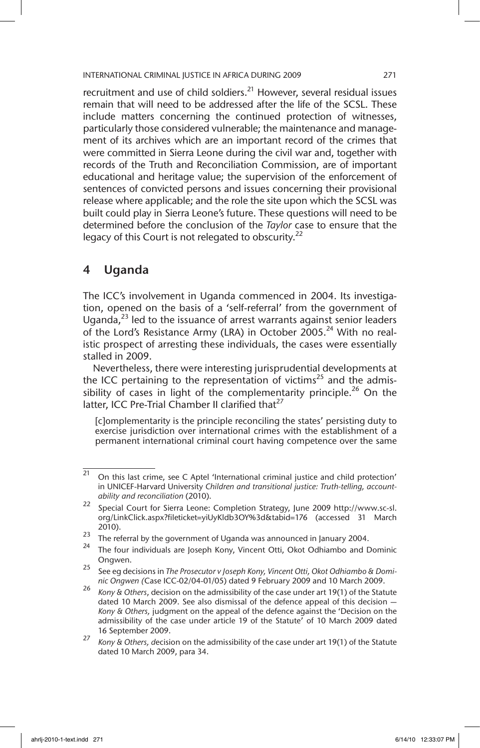recruitment and use of child soldiers. $^{21}$  However, several residual issues remain that will need to be addressed after the life of the SCSL. These include matters concerning the continued protection of witnesses, particularly those considered vulnerable; the maintenance and management of its archives which are an important record of the crimes that were committed in Sierra Leone during the civil war and, together with records of the Truth and Reconciliation Commission, are of important educational and heritage value; the supervision of the enforcement of sentences of convicted persons and issues concerning their provisional release where applicable; and the role the site upon which the SCSL was built could play in Sierra Leone's future. These questions will need to be determined before the conclusion of the *Taylor* case to ensure that the legacy of this Court is not relegated to obscurity.<sup>22</sup>

# 4 Uganda

The ICC's involvement in Uganda commenced in 2004. Its investigation, opened on the basis of a 'self-referral' from the government of Uganda, $^{23}$  led to the issuance of arrest warrants against senior leaders of the Lord's Resistance Army (LRA) in October 2005.<sup>24</sup> With no realistic prospect of arresting these individuals, the cases were essentially stalled in 2009.

Nevertheless, there were interesting jurisprudential developments at the ICC pertaining to the representation of victims<sup>25</sup> and the admissibility of cases in light of the complementarity principle.<sup>26</sup> On the latter, ICC Pre-Trial Chamber II clarified that<sup>27</sup>

[c]omplementarity is the principle reconciling the states' persisting duty to exercise jurisdiction over international crimes with the establishment of a permanent international criminal court having competence over the same

 $21$  On this last crime, see C Aptel 'International criminal justice and child protection' in UNICEF-Harvard University *Children and transitional justice: Truth-telling, accountability and reconciliation* (2010).

<sup>22</sup> Special Court for Sierra Leone: Completion Strategy, June 2009 http://www.sc-sl. org/LinkClick.aspx?fileticket=yiUyKldb3OY%3d&tabid=176 (accessed 31 March 2010).

<sup>&</sup>lt;sup>23</sup> The referral by the government of Uganda was announced in January 2004.

<sup>24</sup> The four individuals are Joseph Kony, Vincent Otti, Okot Odhiambo and Dominic Ongwen.

<sup>25</sup> See eg decisions in *The Prosecutor v Joseph Kony, Vincent Otti, Okot Odhiambo & Dominic Ongwen (*Case ICC-02/04-01/05) dated 9 February 2009 and 10 March 2009.

<sup>26</sup> *Kony & Others*, decision on the admissibility of the case under art 19(1) of the Statute dated 10 March 2009. See also dismissal of the defence appeal of this decision — *Kony & Others,* judgment on the appeal of the defence against the 'Decision on the admissibility of the case under article 19 of the Statute' of 10 March 2009 dated 16 September 2009.

<sup>27</sup> *Kony & Others, d*ecision on the admissibility of the case under art 19(1) of the Statute dated 10 March 2009, para 34.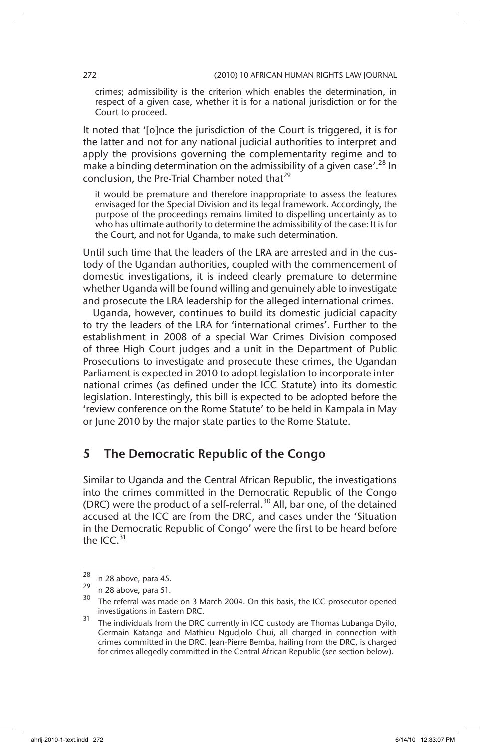crimes; admissibility is the criterion which enables the determination, in respect of a given case, whether it is for a national jurisdiction or for the Court to proceed.

It noted that '[o]nce the jurisdiction of the Court is triggered, it is for the latter and not for any national judicial authorities to interpret and apply the provisions governing the complementarity regime and to make a binding determination on the admissibility of a given case'.<sup>28</sup> In conclusion, the Pre-Trial Chamber noted that $^{29}$ 

it would be premature and therefore inappropriate to assess the features envisaged for the Special Division and its legal framework. Accordingly, the purpose of the proceedings remains limited to dispelling uncertainty as to who has ultimate authority to determine the admissibility of the case: It is for the Court, and not for Uganda, to make such determination.

Until such time that the leaders of the LRA are arrested and in the custody of the Ugandan authorities, coupled with the commencement of domestic investigations, it is indeed clearly premature to determine whether Uganda will be found willing and genuinely able to investigate and prosecute the LRA leadership for the alleged international crimes.

Uganda, however, continues to build its domestic judicial capacity to try the leaders of the LRA for 'international crimes'. Further to the establishment in 2008 of a special War Crimes Division composed of three High Court judges and a unit in the Department of Public Prosecutions to investigate and prosecute these crimes, the Ugandan Parliament is expected in 2010 to adopt legislation to incorporate international crimes (as defined under the ICC Statute) into its domestic legislation. Interestingly, this bill is expected to be adopted before the 'review conference on the Rome Statute' to be held in Kampala in May or June 2010 by the major state parties to the Rome Statute.

# 5 The Democratic Republic of the Congo

Similar to Uganda and the Central African Republic, the investigations into the crimes committed in the Democratic Republic of the Congo (DRC) were the product of a self-referral.<sup>30</sup> All, bar one, of the detained accused at the ICC are from the DRC, and cases under the 'Situation in the Democratic Republic of Congo' were the first to be heard before the  $ICC<sub>31</sub>$ 

 $\frac{28}{29}$  n 28 above, para 45.

 $\frac{29}{30}$  n 28 above, para 51.

The referral was made on 3 March 2004. On this basis, the ICC prosecutor opened investigations in Eastern DRC.

<sup>&</sup>lt;sup>31</sup> The individuals from the DRC currently in ICC custody are Thomas Lubanga Dyilo, Germain Katanga and Mathieu Ngudjolo Chui, all charged in connection with crimes committed in the DRC. Jean-Pierre Bemba, hailing from the DRC, is charged for crimes allegedly committed in the Central African Republic (see section below).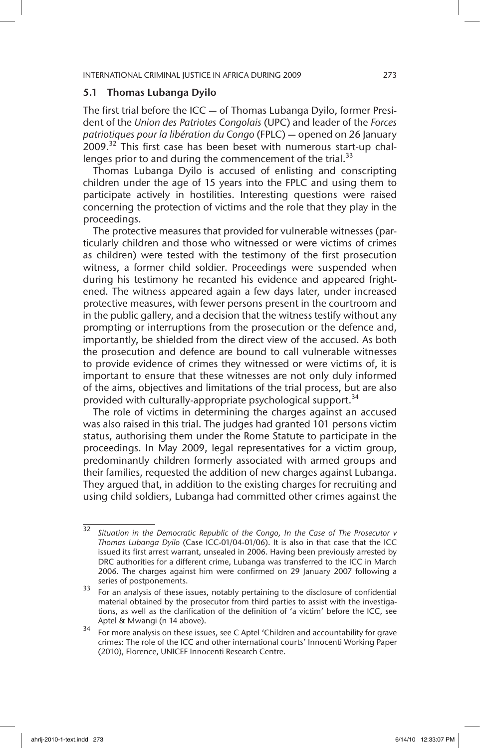### 5.1 Thomas Lubanga Dyilo

The first trial before the ICC — of Thomas Lubanga Dyilo, former President of the *Union des Patriotes Congolais* (UPC) and leader of the *Forces patriotiques pour la libération du Congo* (FPLC) — opened on 26 January  $2009.<sup>32</sup>$  This first case has been beset with numerous start-up challenges prior to and during the commencement of the trial.<sup>33</sup>

Thomas Lubanga Dyilo is accused of enlisting and conscripting children under the age of 15 years into the FPLC and using them to participate actively in hostilities. Interesting questions were raised concerning the protection of victims and the role that they play in the proceedings.

The protective measures that provided for vulnerable witnesses (particularly children and those who witnessed or were victims of crimes as children) were tested with the testimony of the first prosecution witness, a former child soldier. Proceedings were suspended when during his testimony he recanted his evidence and appeared frightened. The witness appeared again a few days later, under increased protective measures, with fewer persons present in the courtroom and in the public gallery, and a decision that the witness testify without any prompting or interruptions from the prosecution or the defence and, importantly, be shielded from the direct view of the accused. As both the prosecution and defence are bound to call vulnerable witnesses to provide evidence of crimes they witnessed or were victims of, it is important to ensure that these witnesses are not only duly informed of the aims, objectives and limitations of the trial process, but are also provided with culturally-appropriate psychological support.<sup>34</sup>

The role of victims in determining the charges against an accused was also raised in this trial. The judges had granted 101 persons victim status, authorising them under the Rome Statute to participate in the proceedings. In May 2009, legal representatives for a victim group, predominantly children formerly associated with armed groups and their families, requested the addition of new charges against Lubanga. They argued that, in addition to the existing charges for recruiting and using child soldiers, Lubanga had committed other crimes against the

<sup>32</sup> *Situation in the Democratic Republic of the Congo, In the Case of The Prosecutor v Thomas Lubanga Dyilo* (Case ICC-01/04-01/06). It is also in that case that the ICC issued its first arrest warrant, unsealed in 2006. Having been previously arrested by DRC authorities for a different crime, Lubanga was transferred to the ICC in March 2006. The charges against him were confirmed on 29 January 2007 following a series of postponements.

<sup>&</sup>lt;sup>33</sup> For an analysis of these issues, notably pertaining to the disclosure of confidential material obtained by the prosecutor from third parties to assist with the investigations, as well as the clarification of the definition of 'a victim' before the ICC, see Aptel & Mwangi (n 14 above).

<sup>&</sup>lt;sup>34</sup> For more analysis on these issues, see C Aptel 'Children and accountability for grave crimes: The role of the ICC and other international courts' Innocenti Working Paper (2010), Florence, UNICEF Innocenti Research Centre.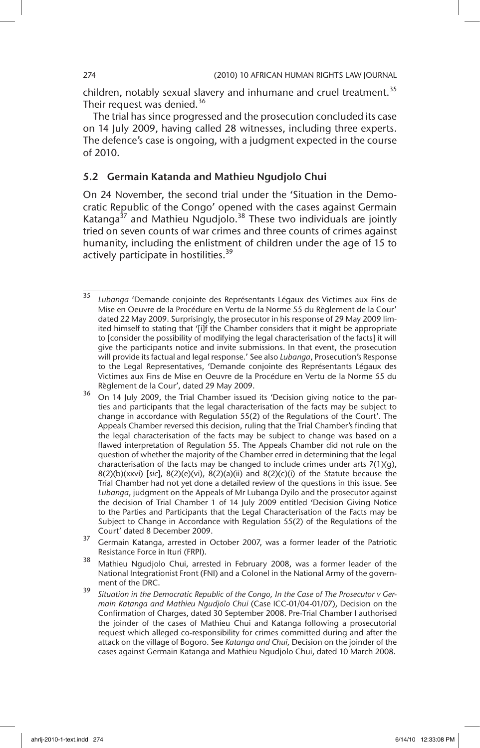children, notably sexual slavery and inhumane and cruel treatment.<sup>35</sup> Their request was denied.<sup>36</sup>

The trial has since progressed and the prosecution concluded its case on 14 July 2009, having called 28 witnesses, including three experts. The defence's case is ongoing, with a judgment expected in the course of 2010.

## 5.2 Germain Katanda and Mathieu Ngudjolo Chui

On 24 November, the second trial under the 'Situation in the Democratic Republic of the Congo' opened with the cases against Germain Katanga $37$  and Mathieu Ngudjolo. $38$  These two individuals are jointly tried on seven counts of war crimes and three counts of crimes against humanity, including the enlistment of children under the age of 15 to actively participate in hostilities.<sup>39</sup>

<sup>35</sup> *Lubanga* 'Demande conjointe des Représentants Légaux des Victimes aux Fins de Mise en Oeuvre de la Procédure en Vertu de la Norme 55 du Règlement de la Cour' dated 22 May 2009. Surprisingly, the prosecutor in his response of 29 May 2009 limited himself to stating that '[i]f the Chamber considers that it might be appropriate to [consider the possibility of modifying the legal characterisation of the facts] it will give the participants notice and invite submissions. In that event, the prosecution will provide its factual and legal response.' See also *Lubanga*, Prosecution's Response to the Legal Representatives, 'Demande conjointe des Représentants Légaux des Victimes aux Fins de Mise en Oeuvre de la Procédure en Vertu de la Norme 55 du Règlement de la Cour', dated 29 May 2009.

On 14 July 2009, the Trial Chamber issued its 'Decision giving notice to the parties and participants that the legal characterisation of the facts may be subject to change in accordance with Regulation 55(2) of the Regulations of the Court'. The Appeals Chamber reversed this decision, ruling that the Trial Chamber's finding that the legal characterisation of the facts may be subject to change was based on a flawed interpretation of Regulation 55. The Appeals Chamber did not rule on the question of whether the majority of the Chamber erred in determining that the legal characterisation of the facts may be changed to include crimes under arts 7(1)(g), 8(2)(b)(xxvi) [*sic*], 8(2)(e)(vi), 8(2)(a)(ii) and 8(2)(c)(i) of the Statute because the Trial Chamber had not yet done a detailed review of the questions in this issue. See *Lubanga*, judgment on the Appeals of Mr Lubanga Dyilo and the prosecutor against the decision of Trial Chamber 1 of 14 July 2009 entitled 'Decision Giving Notice to the Parties and Participants that the Legal Characterisation of the Facts may be Subject to Change in Accordance with Regulation 55(2) of the Regulations of the Court' dated 8 December 2009.

<sup>&</sup>lt;sup>37</sup> Germain Katanga, arrested in October 2007, was a former leader of the Patriotic Resistance Force in Ituri (FRPI).

<sup>38</sup> Mathieu Ngudjolo Chui, arrested in February 2008, was a former leader of the National Integrationist Front (FNI) and a Colonel in the National Army of the government of the DRC.

<sup>39</sup> *Situation in the Democratic Republic of the Congo, In the Case of The Prosecutor v Germain Katanga and Mathieu Ngudjolo Chui* (Case ICC-01/04-01/07), Decision on the Confirmation of Charges, dated 30 September 2008. Pre-Trial Chamber I authorised the joinder of the cases of Mathieu Chui and Katanga following a prosecutorial request which alleged co-responsibility for crimes committed during and after the attack on the village of Bogoro. See *Katanga and Chui,* Decision on the joinder of the cases against Germain Katanga and Mathieu Ngudjolo Chui, dated 10 March 2008.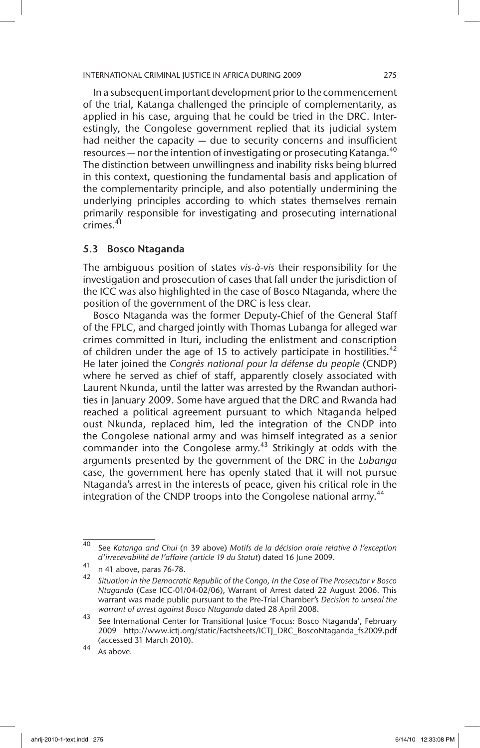In a subsequent important development prior to the commencement of the trial, Katanga challenged the principle of complementarity, as applied in his case, arguing that he could be tried in the DRC. Interestingly, the Congolese government replied that its judicial system had neither the capacity — due to security concerns and insufficient resources  $-$  nor the intention of investigating or prosecuting Katanga.<sup>40</sup> The distinction between unwillingness and inability risks being blurred in this context, questioning the fundamental basis and application of the complementarity principle, and also potentially undermining the underlying principles according to which states themselves remain primarily responsible for investigating and prosecuting international crimes.<sup>41</sup>

### 5.3 Bosco Ntaganda

The ambiguous position of states *vis-à-vis* their responsibility for the investigation and prosecution of cases that fall under the jurisdiction of the ICC was also highlighted in the case of Bosco Ntaganda, where the position of the government of the DRC is less clear.

Bosco Ntaganda was the former Deputy-Chief of the General Staff of the FPLC, and charged jointly with Thomas Lubanga for alleged war crimes committed in Ituri, including the enlistment and conscription of children under the age of 15 to actively participate in hostilities.<sup>42</sup> He later joined the *Congrès national pour la défense du people* (CNDP) where he served as chief of staff, apparently closely associated with Laurent Nkunda, until the latter was arrested by the Rwandan authorities in January 2009. Some have argued that the DRC and Rwanda had reached a political agreement pursuant to which Ntaganda helped oust Nkunda, replaced him, led the integration of the CNDP into the Congolese national army and was himself integrated as a senior commander into the Congolese army.<sup>43</sup> Strikingly at odds with the arguments presented by the government of the DRC in the *Lubanga* case, the government here has openly stated that it will not pursue Ntaganda's arrest in the interests of peace, given his critical role in the integration of the CNDP troops into the Congolese national army.<sup>44</sup>

<sup>40</sup> See *Katanga and Chui* (n 39 above) *Motifs de la décision orale relative à l'exception d'irrecevabilité de l'affaire (article 19 du Statut*) dated 16 June 2009.

 $41$  n 41 above, paras 76-78.

<sup>42</sup> *Situation in the Democratic Republic of the Congo, In the Case of The Prosecutor v Bosco Ntaganda* (Case ICC-01/04-02/06), Warrant of Arrest dated 22 August 2006. This warrant was made public pursuant to the Pre-Trial Chamber's *Decision to unseal the warrant of arrest against Bosco Ntaganda* dated 28 April 2008.

<sup>43</sup> See International Center for Transitional Jusice 'Focus: Bosco Ntaganda', February 2009 http://www.ictj.org/static/Factsheets/ICTJ\_DRC\_BoscoNtaganda\_fs2009.pdf (accessed 31 March 2010).

<sup>44</sup> As above*.*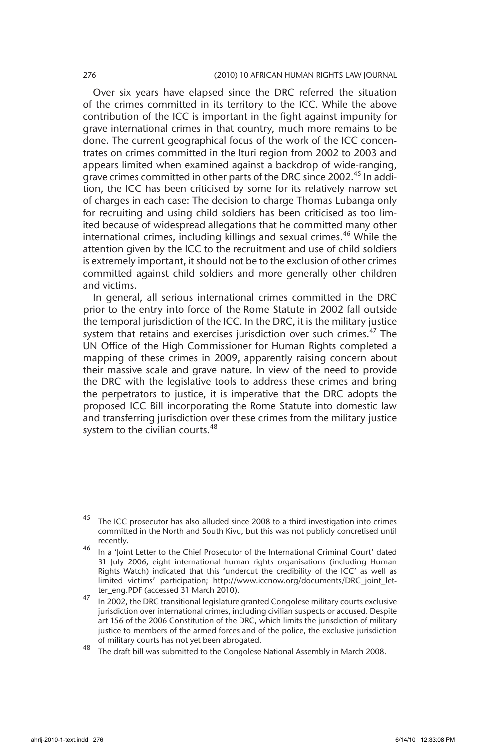Over six years have elapsed since the DRC referred the situation of the crimes committed in its territory to the ICC. While the above contribution of the ICC is important in the fight against impunity for grave international crimes in that country, much more remains to be done. The current geographical focus of the work of the ICC concentrates on crimes committed in the Ituri region from 2002 to 2003 and appears limited when examined against a backdrop of wide-ranging, grave crimes committed in other parts of the DRC since 2002.<sup>45</sup> In addition, the ICC has been criticised by some for its relatively narrow set of charges in each case: The decision to charge Thomas Lubanga only for recruiting and using child soldiers has been criticised as too limited because of widespread allegations that he committed many other international crimes, including killings and sexual crimes.<sup>46</sup> While the attention given by the ICC to the recruitment and use of child soldiers is extremely important, it should not be to the exclusion of other crimes committed against child soldiers and more generally other children and victims.

In general, all serious international crimes committed in the DRC prior to the entry into force of the Rome Statute in 2002 fall outside the temporal jurisdiction of the ICC. In the DRC, it is the military justice system that retains and exercises jurisdiction over such crimes.<sup>47</sup> The UN Office of the High Commissioner for Human Rights completed a mapping of these crimes in 2009, apparently raising concern about their massive scale and grave nature. In view of the need to provide the DRC with the legislative tools to address these crimes and bring the perpetrators to justice, it is imperative that the DRC adopts the proposed ICC Bill incorporating the Rome Statute into domestic law and transferring jurisdiction over these crimes from the military justice system to the civilian courts.<sup>48</sup>

 $\frac{45}{10}$  The ICC prosecutor has also alluded since 2008 to a third investigation into crimes committed in the North and South Kivu, but this was not publicly concretised until recently.

<sup>46</sup> In a 'Joint Letter to the Chief Prosecutor of the International Criminal Court' dated 31 July 2006, eight international human rights organisations (including Human Rights Watch) indicated that this 'undercut the credibility of the ICC' as well as limited victims' participation; http://www.iccnow.org/documents/DRC\_joint\_letter\_eng.PDF (accessed 31 March 2010).

 $\frac{47}{10}$  In 2002, the DRC transitional legislature granted Congolese military courts exclusive jurisdiction over international crimes, including civilian suspects or accused. Despite art 156 of the 2006 Constitution of the DRC, which limits the jurisdiction of military justice to members of the armed forces and of the police, the exclusive jurisdiction of military courts has not yet been abrogated.

<sup>48</sup> The draft bill was submitted to the Congolese National Assembly in March 2008.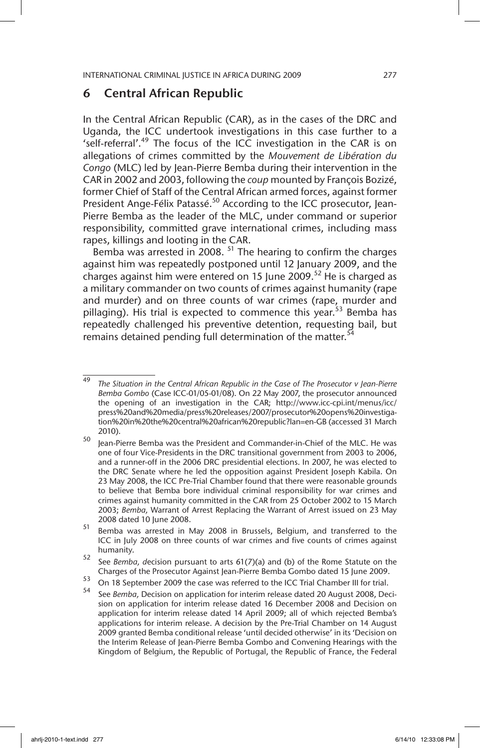# 6 Central African Republic

In the Central African Republic (CAR), as in the cases of the DRC and Uganda, the ICC undertook investigations in this case further to a 'self-referral'.<sup>49</sup> The focus of the ICC investigation in the CAR is on allegations of crimes committed by the *Mouvement de Libération du Congo* (MLC) led by Jean-Pierre Bemba during their intervention in the CAR in 2002 and 2003, following the *coup* mounted by François Bozizé, former Chief of Staff of the Central African armed forces, against former President Ange-Félix Patassé.<sup>50</sup> According to the ICC prosecutor, Jean-Pierre Bemba as the leader of the MLC, under command or superior responsibility, committed grave international crimes, including mass rapes, killings and looting in the CAR.

Bemba was arrested in 2008.  $51$  The hearing to confirm the charges against him was repeatedly postponed until 12 January 2009, and the charges against him were entered on 15 June 2009.<sup>52</sup> He is charged as a military commander on two counts of crimes against humanity (rape and murder) and on three counts of war crimes (rape, murder and pillaging). His trial is expected to commence this year.<sup>53</sup> Bemba has repeatedly challenged his preventive detention, requesting bail, but remains detained pending full determination of the matter.<sup>54</sup>

<sup>49</sup> *The Situation in the Central African Republic in the Case of The Prosecutor v Jean-Pierre Bemba Gombo* (Case ICC-01/05-01/08). On 22 May 2007, the prosecutor announced the opening of an investigation in the CAR; http://www.icc-cpi.int/menus/icc/ press%20and%20media/press%20releases/2007/prosecutor%20opens%20investigation%20in%20the%20central%20african%20republic?lan=en-GB (accessed 31 March 2010).

<sup>50</sup> Jean-Pierre Bemba was the President and Commander-in-Chief of the MLC. He was one of four Vice-Presidents in the DRC transitional government from 2003 to 2006, and a runner-off in the 2006 DRC presidential elections. In 2007, he was elected to the DRC Senate where he led the opposition against President Joseph Kabila. On 23 May 2008, the ICC Pre-Trial Chamber found that there were reasonable grounds to believe that Bemba bore individual criminal responsibility for war crimes and crimes against humanity committed in the CAR from 25 October 2002 to 15 March 2003; *Bemba,* Warrant of Arrest Replacing the Warrant of Arrest issued on 23 May 2008 dated 10 June 2008.

<sup>51</sup> Bemba was arrested in May 2008 in Brussels, Belgium, and transferred to the ICC in July 2008 on three counts of war crimes and five counts of crimes against humanity.

<sup>52</sup> See *Bemba, d*ecision pursuant to arts 61(7)(a) and (b) of the Rome Statute on the Charges of the Prosecutor Against Jean-Pierre Bemba Gombo dated 15 June 2009.

<sup>&</sup>lt;sup>53</sup> On 18 September 2009 the case was referred to the ICC Trial Chamber III for trial.

See *Bemba, Decision on application for interim release dated 20 August 2008, Deci*sion on application for interim release dated 16 December 2008 and Decision on application for interim release dated 14 April 2009; all of which rejected Bemba's applications for interim release. A decision by the Pre-Trial Chamber on 14 August 2009 granted Bemba conditional release 'until decided otherwise' in its 'Decision on the Interim Release of Jean-Pierre Bemba Gombo and Convening Hearings with the Kingdom of Belgium, the Republic of Portugal, the Republic of France, the Federal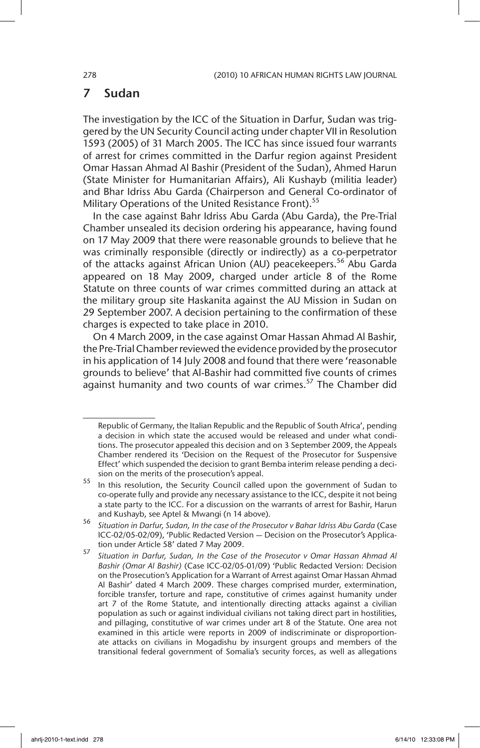# 7 Sudan

The investigation by the ICC of the Situation in Darfur, Sudan was triggered by the UN Security Council acting under chapter VII in Resolution 1593 (2005) of 31 March 2005. The ICC has since issued four warrants of arrest for crimes committed in the Darfur region against President Omar Hassan Ahmad Al Bashir (President of the Sudan), Ahmed Harun (State Minister for Humanitarian Affairs), Ali Kushayb (militia leader) and Bhar Idriss Abu Garda (Chairperson and General Co-ordinator of Military Operations of the United Resistance Front).<sup>55</sup>

In the case against Bahr Idriss Abu Garda (Abu Garda), the Pre-Trial Chamber unsealed its decision ordering his appearance, having found on 17 May 2009 that there were reasonable grounds to believe that he was criminally responsible (directly or indirectly) as a co-perpetrator of the attacks against African Union (AU) peacekeepers.<sup>56</sup> Abu Garda appeared on 18 May 2009, charged under article 8 of the Rome Statute on three counts of war crimes committed during an attack at the military group site Haskanita against the AU Mission in Sudan on 29 September 2007. A decision pertaining to the confirmation of these charges is expected to take place in 2010.

On 4 March 2009, in the case against Omar Hassan Ahmad Al Bashir, the Pre-Trial Chamber reviewed the evidence provided by the prosecutor in his application of 14 July 2008 and found that there were 'reasonable grounds to believe' that Al-Bashir had committed five counts of crimes against humanity and two counts of war crimes. $57$  The Chamber did

Republic of Germany, the Italian Republic and the Republic of South Africa', pending a decision in which state the accused would be released and under what conditions. The prosecutor appealed this decision and on 3 September 2009, the Appeals Chamber rendered its 'Decision on the Request of the Prosecutor for Suspensive Effect' which suspended the decision to grant Bemba interim release pending a decision on the merits of the prosecution's appeal.

<sup>55</sup> In this resolution, the Security Council called upon the government of Sudan to co-operate fully and provide any necessary assistance to the ICC, despite it not being a state party to the ICC. For a discussion on the warrants of arrest for Bashir, Harun and Kushayb, see Aptel & Mwangi (n 14 above).

<sup>56</sup> *Situation in Darfur, Sudan, In the case of the Prosecutor v Bahar Idriss Abu Garda* (Case ICC-02/05-02/09), 'Public Redacted Version — Decision on the Prosecutor's Application under Article 58' dated 7 May 2009.

<sup>57</sup> *Situation in Darfur, Sudan, In the Case of the Prosecutor v Omar Hassan Ahmad Al Bashir (Omar Al Bashir)* (Case ICC-02/05-01/09) 'Public Redacted Version: Decision on the Prosecution's Application for a Warrant of Arrest against Omar Hassan Ahmad Al Bashir' dated 4 March 2009. These charges comprised murder, extermination, forcible transfer, torture and rape, constitutive of crimes against humanity under art 7 of the Rome Statute, and intentionally directing attacks against a civilian population as such or against individual civilians not taking direct part in hostilities, and pillaging, constitutive of war crimes under art 8 of the Statute. One area not examined in this article were reports in 2009 of indiscriminate or disproportionate attacks on civilians in Mogadishu by insurgent groups and members of the transitional federal government of Somalia's security forces, as well as allegations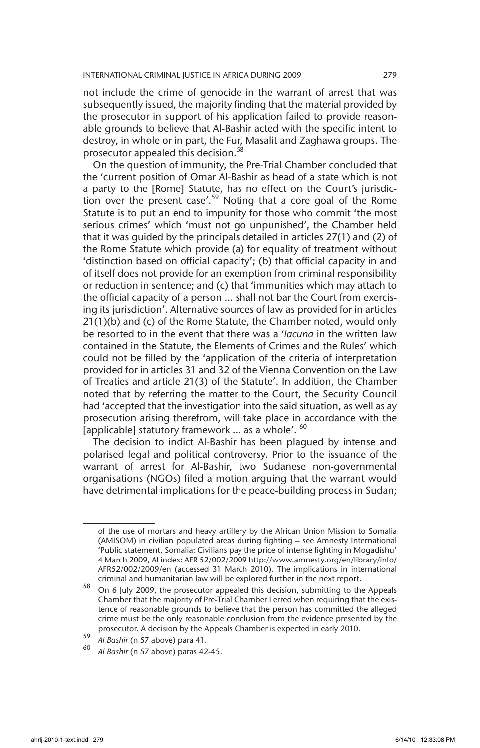not include the crime of genocide in the warrant of arrest that was subsequently issued, the majority finding that the material provided by the prosecutor in support of his application failed to provide reasonable grounds to believe that Al-Bashir acted with the specific intent to destroy, in whole or in part, the Fur, Masalit and Zaghawa groups. The prosecutor appealed this decision.<sup>58</sup>

On the question of immunity, the Pre-Trial Chamber concluded that the 'current position of Omar Al-Bashir as head of a state which is not a party to the [Rome] Statute, has no effect on the Court's jurisdiction over the present case'.<sup>59</sup> Noting that a core goal of the Rome Statute is to put an end to impunity for those who commit 'the most serious crimes' which 'must not go unpunished', the Chamber held that it was guided by the principals detailed in articles 27(1) and (2) of the Rome Statute which provide (a) for equality of treatment without 'distinction based on official capacity'; (b) that official capacity in and of itself does not provide for an exemption from criminal responsibility or reduction in sentence; and (c) that 'immunities which may attach to the official capacity of a person … shall not bar the Court from exercising its jurisdiction'. Alternative sources of law as provided for in articles 21(1)(b) and (c) of the Rome Statute, the Chamber noted, would only be resorted to in the event that there was a '*lacuna* in the written law contained in the Statute, the Elements of Crimes and the Rules' which could not be filled by the 'application of the criteria of interpretation provided for in articles 31 and 32 of the Vienna Convention on the Law of Treaties and article 21(3) of the Statute'. In addition, the Chamber noted that by referring the matter to the Court, the Security Council had 'accepted that the investigation into the said situation, as well as ay prosecution arising therefrom, will take place in accordance with the [applicable] statutory framework ... as a whole'. <sup>60</sup>

The decision to indict Al-Bashir has been plagued by intense and polarised legal and political controversy. Prior to the issuance of the warrant of arrest for Al-Bashir, two Sudanese non-governmental organisations (NGOs) filed a motion arguing that the warrant would have detrimental implications for the peace-building process in Sudan;

of the use of mortars and heavy artillery by the African Union Mission to Somalia (AMISOM) in civilian populated areas during fighting – see Amnesty International 'Public statement, Somalia: Civilians pay the price of intense fighting in Mogadishu' 4 March 2009, AI index: AFR 52/002/2009 http://www.amnesty.org/en/library/info/ AFR52/002/2009/en (accessed 31 March 2010). The implications in international criminal and humanitarian law will be explored further in the next report.

<sup>58</sup> On 6 July 2009, the prosecutor appealed this decision, submitting to the Appeals Chamber that the majority of Pre-Trial Chamber I erred when requiring that the existence of reasonable grounds to believe that the person has committed the alleged crime must be the only reasonable conclusion from the evidence presented by the prosecutor. A decision by the Appeals Chamber is expected in early 2010.

<sup>59</sup> *Al Bashir* (n 57 above) para 41.

<sup>60</sup> *Al Bashir* (n 57 above) paras 42-45.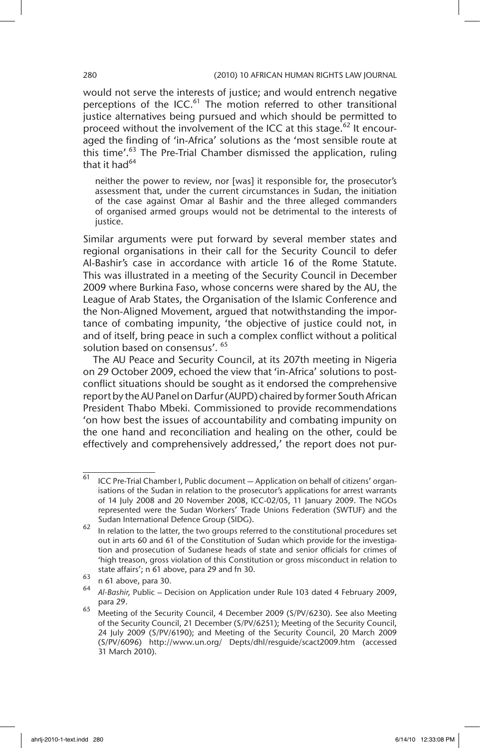would not serve the interests of justice; and would entrench negative perceptions of the ICC.<sup>61</sup> The motion referred to other transitional justice alternatives being pursued and which should be permitted to proceed without the involvement of the ICC at this stage.<sup>62</sup> It encouraged the finding of 'in-Africa' solutions as the 'most sensible route at this time'. $63$  The Pre-Trial Chamber dismissed the application, ruling that it had $^{64}$ 

neither the power to review, nor [was] it responsible for, the prosecutor's assessment that, under the current circumstances in Sudan, the initiation of the case against Omar al Bashir and the three alleged commanders of organised armed groups would not be detrimental to the interests of justice.

Similar arguments were put forward by several member states and regional organisations in their call for the Security Council to defer Al-Bashir's case in accordance with article 16 of the Rome Statute. This was illustrated in a meeting of the Security Council in December 2009 where Burkina Faso, whose concerns were shared by the AU, the League of Arab States, the Organisation of the Islamic Conference and the Non-Aligned Movement, argued that notwithstanding the importance of combating impunity, 'the objective of justice could not, in and of itself, bring peace in such a complex conflict without a political solution based on consensus'. 65

The AU Peace and Security Council, at its 207th meeting in Nigeria on 29 October 2009, echoed the view that 'in-Africa' solutions to postconflict situations should be sought as it endorsed the comprehensive report by the AU Panel on Darfur (AUPD) chaired by former South African President Thabo Mbeki. Commissioned to provide recommendations 'on how best the issues of accountability and combating impunity on the one hand and reconciliation and healing on the other, could be effectively and comprehensively addressed,' the report does not pur-

 $61$  ICC Pre-Trial Chamber I, Public document  $-$  Application on behalf of citizens' organisations of the Sudan in relation to the prosecutor's applications for arrest warrants of 14 July 2008 and 20 November 2008, ICC-02/05, 11 January 2009. The NGOs represented were the Sudan Workers' Trade Unions Federation (SWTUF) and the Sudan International Defence Group (SIDG).

 $62$  In relation to the latter, the two groups referred to the constitutional procedures set out in arts 60 and 61 of the Constitution of Sudan which provide for the investigation and prosecution of Sudanese heads of state and senior officials for crimes of 'high treason, gross violation of this Constitution or gross misconduct in relation to state affairs'; n 61 above, para 29 and fn 30.

 $\begin{array}{c} 63 \text{ }$  n 61 above, para 30.

<sup>64</sup> *Al-Bashir,* Public – Decision on Application under Rule 103 dated 4 February 2009, para 29.

<sup>65</sup> Meeting of the Security Council, 4 December 2009 (S/PV/6230). See also Meeting of the Security Council, 21 December (S/PV/6251); Meeting of the Security Council, 24 July 2009 (S/PV/6190); and Meeting of the Security Council, 20 March 2009 (S/PV/6096) http://www.un.org/ Depts/dhl/resguide/scact2009.htm (accessed 31 March 2010).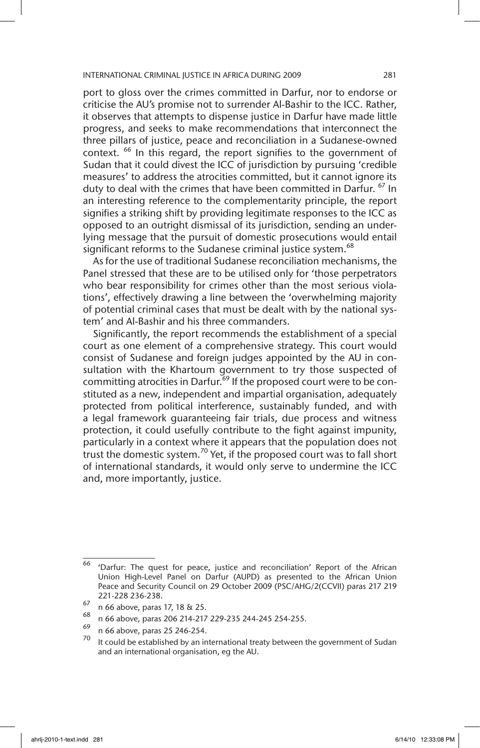port to gloss over the crimes committed in Darfur, nor to endorse or criticise the AU's promise not to surrender Al-Bashir to the ICC. Rather, it observes that attempts to dispense justice in Darfur have made little progress, and seeks to make recommendations that interconnect the three pillars of justice, peace and reconciliation in a Sudanese-owned context. <sup>66</sup> In this regard, the report signifies to the government of Sudan that it could divest the ICC of jurisdiction by pursuing 'credible measures' to address the atrocities committed, but it cannot ignore its duty to deal with the crimes that have been committed in Darfur. <sup>67</sup> In an interesting reference to the complementarity principle, the report signifies a striking shift by providing legitimate responses to the ICC as opposed to an outright dismissal of its jurisdiction, sending an underlying message that the pursuit of domestic prosecutions would entail significant reforms to the Sudanese criminal justice system.<sup>68</sup>

As for the use of traditional Sudanese reconciliation mechanisms, the Panel stressed that these are to be utilised only for 'those perpetrators who bear responsibility for crimes other than the most serious violations', effectively drawing a line between the 'overwhelming majority of potential criminal cases that must be dealt with by the national system' and Al-Bashir and his three commanders.

Significantly, the report recommends the establishment of a special court as one element of a comprehensive strategy. This court would consist of Sudanese and foreign judges appointed by the AU in consultation with the Khartoum government to try those suspected of committing atrocities in Darfur.<sup>69</sup> If the proposed court were to be constituted as a new, independent and impartial organisation, adequately protected from political interference, sustainably funded, and with a legal framework guaranteeing fair trials, due process and witness protection, it could usefully contribute to the fight against impunity, particularly in a context where it appears that the population does not trust the domestic system.<sup>70</sup> Yet, if the proposed court was to fall short of international standards, it would only serve to undermine the ICC and, more importantly, justice.

 $\overline{66}$  'Darfur: The quest for peace, justice and reconciliation' Report of the African Union High-Level Panel on Darfur (AUPD) as presented to the African Union Peace and Security Council on 29 October 2009 (PSC/AHG/2(CCVII) paras 217 219 221-228 236-238.

 $^{67}$  n 66 above, paras 17, 18 & 25.

 $^{60}$  n 66 above, paras 206 214-217 229-235 244-245 254-255.

 $^{69}$  n 66 above, paras 25 246-254.

It could be established by an international treaty between the government of Sudan and an international organisation, eg the AU.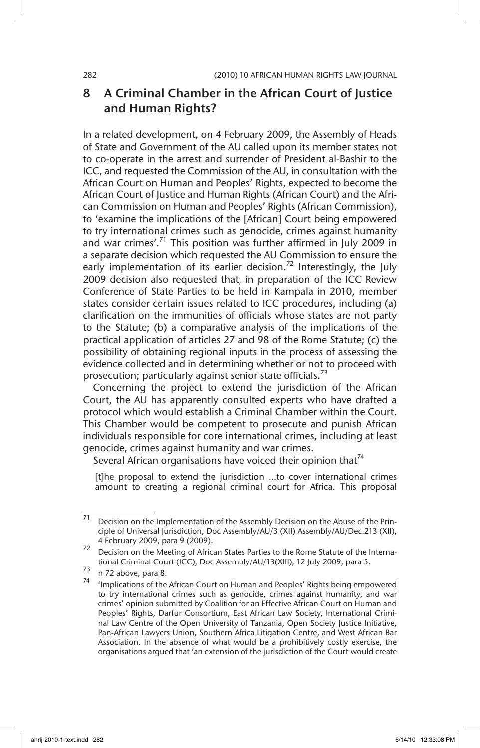# 8 A Criminal Chamber in the African Court of Justice and Human Rights?

In a related development, on 4 February 2009, the Assembly of Heads of State and Government of the AU called upon its member states not to co-operate in the arrest and surrender of President al-Bashir to the ICC, and requested the Commission of the AU, in consultation with the African Court on Human and Peoples' Rights, expected to become the African Court of Justice and Human Rights (African Court) and the African Commission on Human and Peoples' Rights (African Commission), to 'examine the implications of the [African] Court being empowered to try international crimes such as genocide, crimes against humanity and war crimes'. $71$  This position was further affirmed in July 2009 in a separate decision which requested the AU Commission to ensure the early implementation of its earlier decision.<sup>72</sup> Interestingly, the July 2009 decision also requested that, in preparation of the ICC Review Conference of State Parties to be held in Kampala in 2010, member states consider certain issues related to ICC procedures, including (a) clarification on the immunities of officials whose states are not party to the Statute; (b) a comparative analysis of the implications of the practical application of articles 27 and 98 of the Rome Statute; (c) the possibility of obtaining regional inputs in the process of assessing the evidence collected and in determining whether or not to proceed with prosecution; particularly against senior state officials.<sup>73</sup>

Concerning the project to extend the jurisdiction of the African Court, the AU has apparently consulted experts who have drafted a protocol which would establish a Criminal Chamber within the Court. This Chamber would be competent to prosecute and punish African individuals responsible for core international crimes, including at least genocide, crimes against humanity and war crimes.

Several African organisations have voiced their opinion that  $74$ 

[t]he proposal to extend the jurisdiction …to cover international crimes amount to creating a regional criminal court for Africa. This proposal

 $\frac{71}{71}$  Decision on the Implementation of the Assembly Decision on the Abuse of the Principle of Universal Jurisdiction, Doc Assembly/AU/3 (XII) Assembly/AU/Dec.213 (XII), 4 February 2009, para 9 (2009).

<sup>72</sup> Decision on the Meeting of African States Parties to the Rome Statute of the International Criminal Court (ICC), Doc Assembly/AU/13(XIII), 12 July 2009, para 5.

 $73$  n 72 above, para 8.

 $74$  'Implications of the African Court on Human and Peoples' Rights being empowered to try international crimes such as genocide, crimes against humanity, and war crimes' opinion submitted by Coalition for an Effective African Court on Human and Peoples' Rights, Darfur Consortium, East African Law Society, International Criminal Law Centre of the Open University of Tanzania, Open Society Justice Initiative, Pan-African Lawyers Union, Southern Africa Litigation Centre, and West African Bar Association. In the absence of what would be a prohibitively costly exercise, the organisations argued that 'an extension of the jurisdiction of the Court would create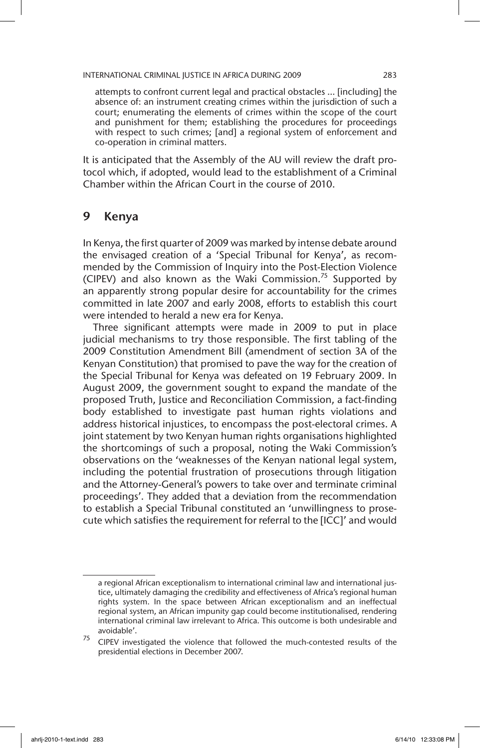attempts to confront current legal and practical obstacles … [including] the absence of: an instrument creating crimes within the jurisdiction of such a court; enumerating the elements of crimes within the scope of the court and punishment for them; establishing the procedures for proceedings with respect to such crimes; [and] a regional system of enforcement and co-operation in criminal matters.

It is anticipated that the Assembly of the AU will review the draft protocol which, if adopted, would lead to the establishment of a Criminal Chamber within the African Court in the course of 2010.

# 9 Kenya

In Kenya, the first quarter of 2009 was marked by intense debate around the envisaged creation of a 'Special Tribunal for Kenya', as recommended by the Commission of Inquiry into the Post-Election Violence (CIPEV) and also known as the Waki Commission.<sup>75</sup> Supported by an apparently strong popular desire for accountability for the crimes committed in late 2007 and early 2008, efforts to establish this court were intended to herald a new era for Kenya.

Three significant attempts were made in 2009 to put in place judicial mechanisms to try those responsible. The first tabling of the 2009 Constitution Amendment Bill (amendment of section 3A of the Kenyan Constitution) that promised to pave the way for the creation of the Special Tribunal for Kenya was defeated on 19 February 2009. In August 2009, the government sought to expand the mandate of the proposed Truth, Justice and Reconciliation Commission, a fact-finding body established to investigate past human rights violations and address historical injustices, to encompass the post-electoral crimes. A joint statement by two Kenyan human rights organisations highlighted the shortcomings of such a proposal, noting the Waki Commission's observations on the 'weaknesses of the Kenyan national legal system, including the potential frustration of prosecutions through litigation and the Attorney-General's powers to take over and terminate criminal proceedings'. They added that a deviation from the recommendation to establish a Special Tribunal constituted an 'unwillingness to prosecute which satisfies the requirement for referral to the [ICC]' and would

a regional African exceptionalism to international criminal law and international justice, ultimately damaging the credibility and effectiveness of Africa's regional human rights system. In the space between African exceptionalism and an ineffectual regional system, an African impunity gap could become institutionalised, rendering international criminal law irrelevant to Africa. This outcome is both undesirable and avoidable'.

 $75$  CIPEV investigated the violence that followed the much-contested results of the presidential elections in December 2007.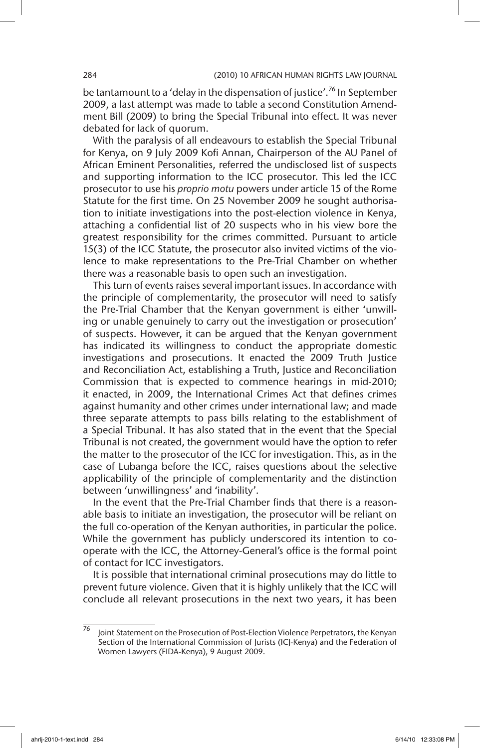be tantamount to a 'delay in the dispensation of justice'.<sup>76</sup> In September 2009, a last attempt was made to table a second Constitution Amendment Bill (2009) to bring the Special Tribunal into effect. It was never debated for lack of quorum.

With the paralysis of all endeavours to establish the Special Tribunal for Kenya, on 9 July 2009 Kofi Annan, Chairperson of the AU Panel of African Eminent Personalities, referred the undisclosed list of suspects and supporting information to the ICC prosecutor. This led the ICC prosecutor to use his *proprio motu* powers under article 15 of the Rome Statute for the first time. On 25 November 2009 he sought authorisation to initiate investigations into the post-election violence in Kenya, attaching a confidential list of 20 suspects who in his view bore the greatest responsibility for the crimes committed. Pursuant to article 15(3) of the ICC Statute, the prosecutor also invited victims of the violence to make representations to the Pre-Trial Chamber on whether there was a reasonable basis to open such an investigation.

This turn of events raises several important issues. In accordance with the principle of complementarity, the prosecutor will need to satisfy the Pre-Trial Chamber that the Kenyan government is either 'unwilling or unable genuinely to carry out the investigation or prosecution' of suspects. However, it can be argued that the Kenyan government has indicated its willingness to conduct the appropriate domestic investigations and prosecutions. It enacted the 2009 Truth Justice and Reconciliation Act, establishing a Truth, Justice and Reconciliation Commission that is expected to commence hearings in mid-2010; it enacted, in 2009, the International Crimes Act that defines crimes against humanity and other crimes under international law; and made three separate attempts to pass bills relating to the establishment of a Special Tribunal. It has also stated that in the event that the Special Tribunal is not created, the government would have the option to refer the matter to the prosecutor of the ICC for investigation. This, as in the case of Lubanga before the ICC, raises questions about the selective applicability of the principle of complementarity and the distinction between 'unwillingness' and 'inability'.

In the event that the Pre-Trial Chamber finds that there is a reasonable basis to initiate an investigation, the prosecutor will be reliant on the full co-operation of the Kenyan authorities, in particular the police. While the government has publicly underscored its intention to cooperate with the ICC, the Attorney-General's office is the formal point of contact for ICC investigators.

It is possible that international criminal prosecutions may do little to prevent future violence. Given that it is highly unlikely that the ICC will conclude all relevant prosecutions in the next two years, it has been

<sup>76</sup> Joint Statement on the Prosecution of Post-Election Violence Perpetrators, the Kenyan Section of the International Commission of Jurists (ICJ-Kenya) and the Federation of Women Lawyers (FIDA-Kenya), 9 August 2009.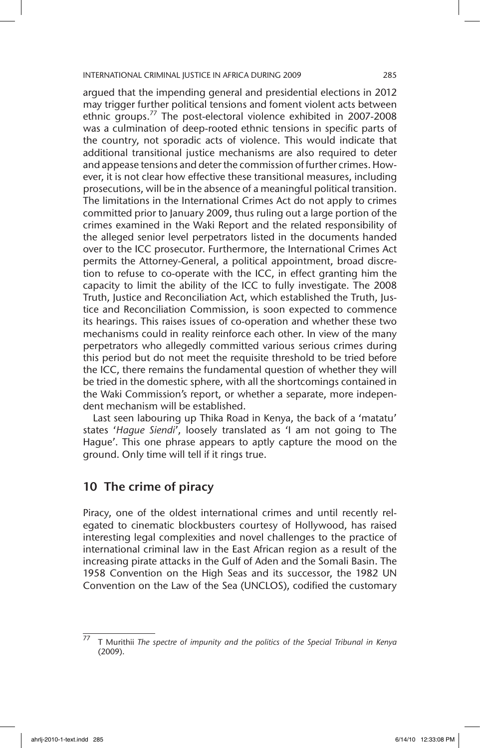argued that the impending general and presidential elections in 2012 may trigger further political tensions and foment violent acts between ethnic groups.<sup>77</sup> The post-electoral violence exhibited in 2007-2008 was a culmination of deep-rooted ethnic tensions in specific parts of the country, not sporadic acts of violence. This would indicate that additional transitional justice mechanisms are also required to deter and appease tensions and deter the commission of further crimes. However, it is not clear how effective these transitional measures, including prosecutions, will be in the absence of a meaningful political transition. The limitations in the International Crimes Act do not apply to crimes committed prior to January 2009, thus ruling out a large portion of the crimes examined in the Waki Report and the related responsibility of the alleged senior level perpetrators listed in the documents handed over to the ICC prosecutor. Furthermore, the International Crimes Act permits the Attorney-General, a political appointment, broad discretion to refuse to co-operate with the ICC, in effect granting him the capacity to limit the ability of the ICC to fully investigate. The 2008 Truth, Justice and Reconciliation Act, which established the Truth, Justice and Reconciliation Commission, is soon expected to commence its hearings. This raises issues of co-operation and whether these two mechanisms could in reality reinforce each other. In view of the many perpetrators who allegedly committed various serious crimes during this period but do not meet the requisite threshold to be tried before the ICC, there remains the fundamental question of whether they will be tried in the domestic sphere, with all the shortcomings contained in the Waki Commission's report, or whether a separate, more independent mechanism will be established.

Last seen labouring up Thika Road in Kenya, the back of a 'matatu' states '*Hague Siendi*', loosely translated as 'I am not going to The Hague'. This one phrase appears to aptly capture the mood on the ground. Only time will tell if it rings true.

# 10 The crime of piracy

Piracy, one of the oldest international crimes and until recently relegated to cinematic blockbusters courtesy of Hollywood, has raised interesting legal complexities and novel challenges to the practice of international criminal law in the East African region as a result of the increasing pirate attacks in the Gulf of Aden and the Somali Basin. The 1958 Convention on the High Seas and its successor, the 1982 UN Convention on the Law of the Sea (UNCLOS), codified the customary

<sup>77</sup> T Murithii *The spectre of impunity and the politics of the Special Tribunal in Kenya* (2009).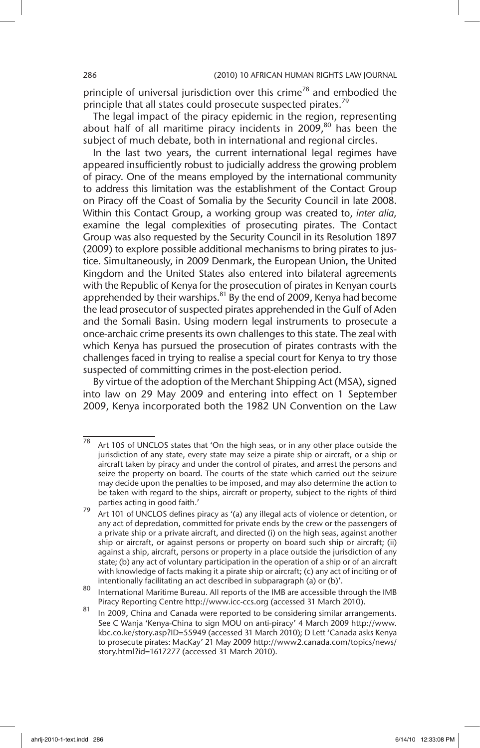principle of universal jurisdiction over this crime<sup>78</sup> and embodied the principle that all states could prosecute suspected pirates.<sup>79</sup>

The legal impact of the piracy epidemic in the region, representing about half of all maritime piracy incidents in  $2009$ ,<sup>80</sup> has been the subject of much debate, both in international and regional circles.

In the last two years, the current international legal regimes have appeared insufficiently robust to judicially address the growing problem of piracy. One of the means employed by the international community to address this limitation was the establishment of the Contact Group on Piracy off the Coast of Somalia by the Security Council in late 2008. Within this Contact Group, a working group was created to, *inter alia,* examine the legal complexities of prosecuting pirates. The Contact Group was also requested by the Security Council in its Resolution 1897 (2009) to explore possible additional mechanisms to bring pirates to justice. Simultaneously, in 2009 Denmark, the European Union, the United Kingdom and the United States also entered into bilateral agreements with the Republic of Kenya for the prosecution of pirates in Kenyan courts apprehended by their warships. $81$  By the end of 2009, Kenya had become the lead prosecutor of suspected pirates apprehended in the Gulf of Aden and the Somali Basin. Using modern legal instruments to prosecute a once-archaic crime presents its own challenges to this state. The zeal with which Kenya has pursued the prosecution of pirates contrasts with the challenges faced in trying to realise a special court for Kenya to try those suspected of committing crimes in the post-election period.

By virtue of the adoption of the Merchant Shipping Act (MSA), signed into law on 29 May 2009 and entering into effect on 1 September 2009, Kenya incorporated both the 1982 UN Convention on the Law

 $78$  Art 105 of UNCLOS states that 'On the high seas, or in any other place outside the jurisdiction of any state, every state may seize a pirate ship or aircraft, or a ship or aircraft taken by piracy and under the control of pirates, and arrest the persons and seize the property on board. The courts of the state which carried out the seizure may decide upon the penalties to be imposed, and may also determine the action to be taken with regard to the ships, aircraft or property, subject to the rights of third parties acting in good faith.'

<sup>79</sup> Art 101 of UNCLOS defines piracy as '(a) any illegal acts of violence or detention, or any act of depredation, committed for private ends by the crew or the passengers of a private ship or a private aircraft, and directed (i) on the high seas, against another ship or aircraft, or against persons or property on board such ship or aircraft; (ii) against a ship, aircraft, persons or property in a place outside the jurisdiction of any state; (b) any act of voluntary participation in the operation of a ship or of an aircraft with knowledge of facts making it a pirate ship or aircraft; (c) any act of inciting or of intentionally facilitating an act described in subparagraph (a) or (b)'.

<sup>80</sup> International Maritime Bureau. All reports of the IMB are accessible through the IMB Piracy Reporting Centre http://www.icc-ccs.org (accessed 31 March 2010).

 $\frac{81}{10}$  In 2009, China and Canada were reported to be considering similar arrangements. See C Wanja 'Kenya-China to sign MOU on anti-piracy' 4 March 2009 http://www. kbc.co.ke/story.asp?ID=55949 (accessed 31 March 2010); D Lett 'Canada asks Kenya to prosecute pirates: MacKay' 21 May 2009 http://www2.canada.com/topics/news/ story.html?id=1617277 (accessed 31 March 2010).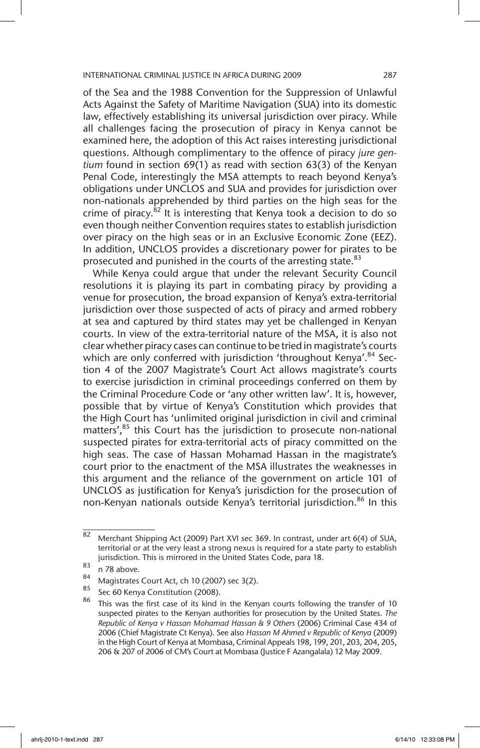of the Sea and the 1988 Convention for the Suppression of Unlawful Acts Against the Safety of Maritime Navigation (SUA) into its domestic law, effectively establishing its universal jurisdiction over piracy. While all challenges facing the prosecution of piracy in Kenya cannot be examined here, the adoption of this Act raises interesting jurisdictional questions. Although complimentary to the offence of piracy *jure gentium* found in section 69(1) as read with section 63(3) of the Kenyan Penal Code, interestingly the MSA attempts to reach beyond Kenya's obligations under UNCLOS and SUA and provides for jurisdiction over non-nationals apprehended by third parties on the high seas for the crime of piracy. $82$  It is interesting that Kenya took a decision to do so even though neither Convention requires states to establish jurisdiction over piracy on the high seas or in an Exclusive Economic Zone (EEZ). In addition, UNCLOS provides a discretionary power for pirates to be prosecuted and punished in the courts of the arresting state.<sup>83</sup>

While Kenya could argue that under the relevant Security Council resolutions it is playing its part in combating piracy by providing a venue for prosecution, the broad expansion of Kenya's extra-territorial jurisdiction over those suspected of acts of piracy and armed robbery at sea and captured by third states may yet be challenged in Kenyan courts. In view of the extra-territorial nature of the MSA, it is also not clear whether piracy cases can continue to be tried in magistrate's courts which are only conferred with jurisdiction 'throughout Kenya'.<sup>84</sup> Section 4 of the 2007 Magistrate's Court Act allows magistrate's courts to exercise jurisdiction in criminal proceedings conferred on them by the Criminal Procedure Code or 'any other written law'. It is, however, possible that by virtue of Kenya's Constitution which provides that the High Court has 'unlimited original jurisdiction in civil and criminal matters',<sup>85</sup> this Court has the jurisdiction to prosecute non-national suspected pirates for extra-territorial acts of piracy committed on the high seas. The case of Hassan Mohamad Hassan in the magistrate's court prior to the enactment of the MSA illustrates the weaknesses in this argument and the reliance of the government on article 101 of UNCLOS as justification for Kenya's jurisdiction for the prosecution of non-Kenyan nationals outside Kenya's territorial jurisdiction.<sup>86</sup> In this

 $\overline{\text{82}}$  Merchant Shipping Act (2009) Part XVI sec 369. In contrast, under art 6(4) of SUA, territorial or at the very least a strong nexus is required for a state party to establish jurisdiction. This is mirrored in the United States Code, para 18.

 $\begin{matrix} 83 \\ 178 \\ 84 \end{matrix}$  n 78 above.

 $84$  Magistrates Court Act, ch 10 (2007) sec 3(2).

 $\frac{85}{86}$  Sec 60 Kenya Constitution (2008).

This was the first case of its kind in the Kenyan courts following the transfer of 10 suspected pirates to the Kenyan authorities for prosecution by the United States. *The Republic of Kenya v Hassan Mohamad Hassan & 9 Others* (2006) Criminal Case 434 of 2006 (Chief Magistrate Ct Kenya). See also *Hassan M Ahmed v Republic of Kenya* (2009) in the High Court of Kenya at Mombasa, Criminal Appeals 198, 199, 201, 203, 204, 205, 206 & 207 of 2006 of CM's Court at Mombasa (Justice F Azangalala) 12 May 2009.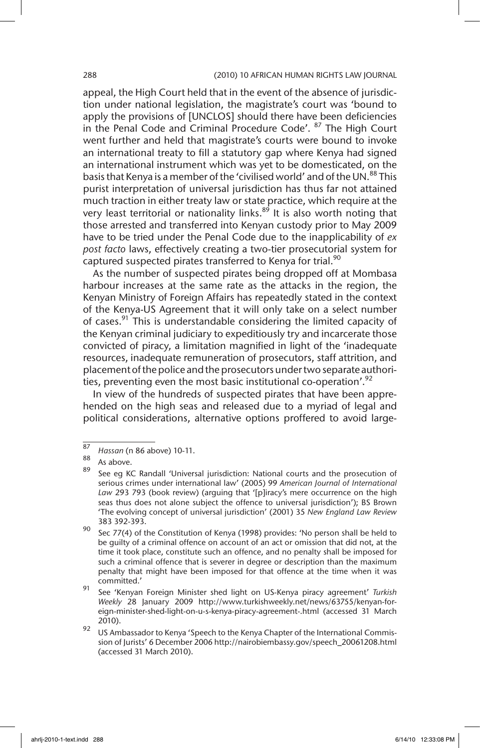### 288 (2010) 10 AFRICAN HUMAN RIGHTS LAW JOURNAL

appeal, the High Court held that in the event of the absence of jurisdiction under national legislation, the magistrate's court was 'bound to apply the provisions of [UNCLOS] should there have been deficiencies in the Penal Code and Criminal Procedure Code'. <sup>87</sup> The High Court went further and held that magistrate's courts were bound to invoke an international treaty to fill a statutory gap where Kenya had signed an international instrument which was yet to be domesticated, on the basis that Kenya is a member of the 'civilised world' and of the UN.<sup>88</sup> This purist interpretation of universal jurisdiction has thus far not attained much traction in either treaty law or state practice, which require at the very least territorial or nationality links.<sup>89</sup> It is also worth noting that those arrested and transferred into Kenyan custody prior to May 2009 have to be tried under the Penal Code due to the inapplicability of *ex post facto* laws, effectively creating a two-tier prosecutorial system for captured suspected pirates transferred to Kenya for trial.<sup>90</sup>

As the number of suspected pirates being dropped off at Mombasa harbour increases at the same rate as the attacks in the region, the Kenyan Ministry of Foreign Affairs has repeatedly stated in the context of the Kenya-US Agreement that it will only take on a select number of cases. $91$  This is understandable considering the limited capacity of the Kenyan criminal judiciary to expeditiously try and incarcerate those convicted of piracy, a limitation magnified in light of the 'inadequate resources, inadequate remuneration of prosecutors, staff attrition, and placement of the police and the prosecutors under two separate authorities, preventing even the most basic institutional co-operation'.<sup>92</sup>

In view of the hundreds of suspected pirates that have been apprehended on the high seas and released due to a myriad of legal and political considerations, alternative options proffered to avoid large-

<sup>91</sup> See 'Kenyan Foreign Minister shed light on US-Kenya piracy agreement' *Turkish Weekly* 28 January 2009 http://www.turkishweekly.net/news/63755/kenyan-foreign-minister-shed-light-on-u-s-kenya-piracy-agreement-.html (accessed 31 March 2010).

 $\frac{92}{2}$  US Ambassador to Kenya 'Speech to the Kenya Chapter of the International Commission of Jurists' 6 December 2006 http://nairobiembassy.gov/speech\_20061208.html (accessed 31 March 2010).

<sup>87</sup> *Hassan* (n 86 above) 10-11.

 $\frac{89}{89}$  As above.

See eg KC Randall 'Universal jurisdiction: National courts and the prosecution of serious crimes under international law' (2005) 99 *American Journal of International Law* 293 793 (book review) (arguing that '[p]iracy's mere occurrence on the high seas thus does not alone subject the offence to universal jurisdiction'); BS Brown 'The evolving concept of universal jurisdiction' (2001) 35 *New England Law Review* 383 392-393.

<sup>&</sup>lt;sup>90</sup> Sec 77(4) of the Constitution of Kenya (1998) provides: 'No person shall be held to be guilty of a criminal offence on account of an act or omission that did not, at the time it took place, constitute such an offence, and no penalty shall be imposed for such a criminal offence that is severer in degree or description than the maximum penalty that might have been imposed for that offence at the time when it was committed.'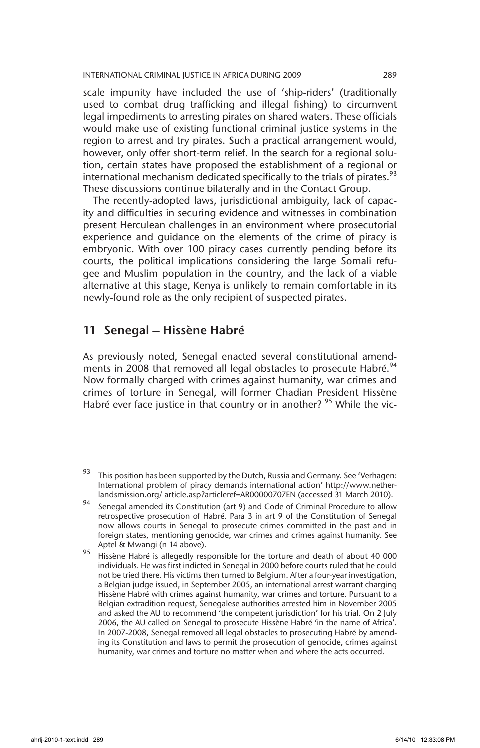scale impunity have included the use of 'ship-riders' (traditionally used to combat drug trafficking and illegal fishing) to circumvent legal impediments to arresting pirates on shared waters. These officials would make use of existing functional criminal justice systems in the region to arrest and try pirates. Such a practical arrangement would, however, only offer short-term relief. In the search for a regional solution, certain states have proposed the establishment of a regional or international mechanism dedicated specifically to the trials of pirates. $93$ These discussions continue bilaterally and in the Contact Group.

The recently-adopted laws, jurisdictional ambiguity, lack of capacity and difficulties in securing evidence and witnesses in combination present Herculean challenges in an environment where prosecutorial experience and guidance on the elements of the crime of piracy is embryonic. With over 100 piracy cases currently pending before its courts, the political implications considering the large Somali refugee and Muslim population in the country, and the lack of a viable alternative at this stage, Kenya is unlikely to remain comfortable in its newly-found role as the only recipient of suspected pirates.

# 11 Senegal – Hissène Habré

As previously noted, Senegal enacted several constitutional amendments in 2008 that removed all legal obstacles to prosecute Habré.<sup>94</sup> Now formally charged with crimes against humanity, war crimes and crimes of torture in Senegal, will former Chadian President Hissène Habré ever face justice in that country or in another? <sup>95</sup> While the vic-

<sup>93</sup> This position has been supported by the Dutch, Russia and Germany. See 'Verhagen: International problem of piracy demands international action' http://www.netherlandsmission.org/ article.asp?articleref=AR00000707EN (accessed 31 March 2010).

<sup>94</sup> Senegal amended its Constitution (art 9) and Code of Criminal Procedure to allow retrospective prosecution of Habré. Para 3 in art 9 of the Constitution of Senegal now allows courts in Senegal to prosecute crimes committed in the past and in foreign states, mentioning genocide, war crimes and crimes against humanity. See Aptel & Mwangi (n 14 above).

<sup>95</sup> Hissène Habré is allegedly responsible for the torture and death of about 40 000 individuals. He was first indicted in Senegal in 2000 before courts ruled that he could not be tried there. His victims then turned to Belgium. After a four-year investigation, a Belgian judge issued, in September 2005, an international arrest warrant charging Hissène Habré with crimes against humanity, war crimes and torture. Pursuant to a Belgian extradition request, Senegalese authorities arrested him in November 2005 and asked the AU to recommend 'the competent jurisdiction' for his trial. On 2 July 2006, the AU called on Senegal to prosecute Hissène Habré 'in the name of Africa'. In 2007-2008, Senegal removed all legal obstacles to prosecuting Habré by amending its Constitution and laws to permit the prosecution of genocide, crimes against humanity, war crimes and torture no matter when and where the acts occurred.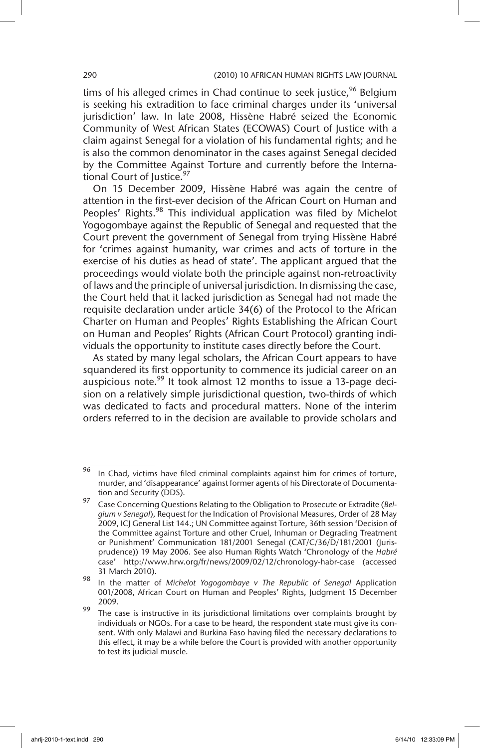tims of his alleged crimes in Chad continue to seek justice,  $96$  Belgium is seeking his extradition to face criminal charges under its 'universal jurisdiction' law. In late 2008, Hissène Habré seized the Economic Community of West African States (ECOWAS) Court of Justice with a claim against Senegal for a violation of his fundamental rights; and he is also the common denominator in the cases against Senegal decided by the Committee Against Torture and currently before the International Court of Justice.<sup>97</sup>

On 15 December 2009, Hissène Habré was again the centre of attention in the first-ever decision of the African Court on Human and Peoples' Rights.<sup>98</sup> This individual application was filed by Michelot Yogogombaye against the Republic of Senegal and requested that the Court prevent the government of Senegal from trying Hissène Habré for 'crimes against humanity, war crimes and acts of torture in the exercise of his duties as head of state'. The applicant argued that the proceedings would violate both the principle against non-retroactivity of laws and the principle of universal jurisdiction. In dismissing the case, the Court held that it lacked jurisdiction as Senegal had not made the requisite declaration under article 34(6) of the Protocol to the African Charter on Human and Peoples' Rights Establishing the African Court on Human and Peoples' Rights (African Court Protocol) granting individuals the opportunity to institute cases directly before the Court.

As stated by many legal scholars, the African Court appears to have squandered its first opportunity to commence its judicial career on an auspicious note.<sup>99</sup> It took almost 12 months to issue a 13-page decision on a relatively simple jurisdictional question, two-thirds of which was dedicated to facts and procedural matters. None of the interim orders referred to in the decision are available to provide scholars and

 $\frac{1}{96}$  In Chad, victims have filed criminal complaints against him for crimes of torture, murder, and 'disappearance' against former agents of his Directorate of Documentation and Security (DDS).

<sup>97</sup> Case Concerning Questions Relating to the Obligation to Prosecute or Extradite (*Belgium v Senegal*), Request for the Indication of Provisional Measures, Order of 28 May 2009, ICJ General List 144.; UN Committee against Torture, 36th session 'Decision of the Committee against Torture and other Cruel, Inhuman or Degrading Treatment or Punishment' Communication 181/2001 Senegal (CAT/C/36/D/181/2001 (Jurisprudence)) 19 May 2006. See also Human Rights Watch 'Chronology of the *Habré* case' http://www.hrw.org/fr/news/2009/02/12/chronology-habr-case (accessed 31 March 2010).

<sup>98</sup> In the matter of *Michelot Yogogombaye v The Republic of Senegal* Application 001/2008, African Court on Human and Peoples' Rights, Judgment 15 December 2009.

<sup>&</sup>lt;sup>99</sup> The case is instructive in its jurisdictional limitations over complaints brought by individuals or NGOs. For a case to be heard, the respondent state must give its consent. With only Malawi and Burkina Faso having filed the necessary declarations to this effect, it may be a while before the Court is provided with another opportunity to test its judicial muscle.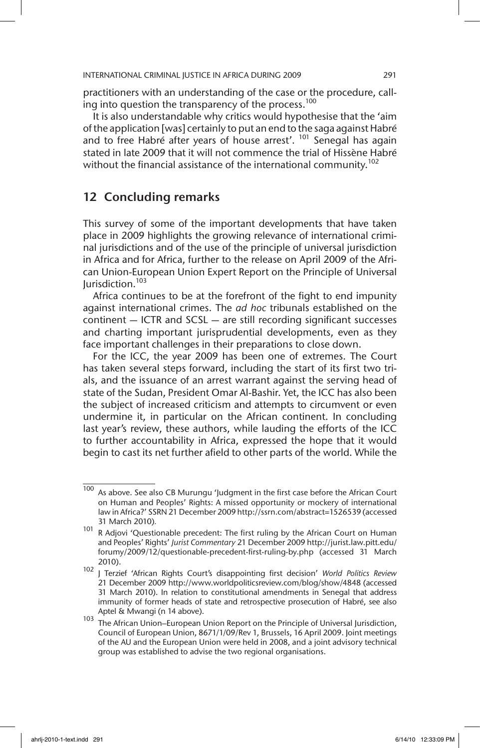practitioners with an understanding of the case or the procedure, calling into question the transparency of the process.<sup>100</sup>

It is also understandable why critics would hypothesise that the 'aim of the application [was] certainly to put an end to the saga against Habré and to free Habré after years of house arrest'. <sup>101</sup> Senegal has again stated in late 2009 that it will not commence the trial of Hissène Habré without the financial assistance of the international community.<sup>102</sup>

# 12 Concluding remarks

This survey of some of the important developments that have taken place in 2009 highlights the growing relevance of international criminal jurisdictions and of the use of the principle of universal jurisdiction in Africa and for Africa, further to the release on April 2009 of the African Union-European Union Expert Report on the Principle of Universal Jurisdiction.<sup>103</sup>

Africa continues to be at the forefront of the fight to end impunity against international crimes. The *ad hoc* tribunals established on the continent — ICTR and SCSL — are still recording significant successes and charting important jurisprudential developments, even as they face important challenges in their preparations to close down.

For the ICC, the year 2009 has been one of extremes. The Court has taken several steps forward, including the start of its first two trials, and the issuance of an arrest warrant against the serving head of state of the Sudan, President Omar Al-Bashir. Yet, the ICC has also been the subject of increased criticism and attempts to circumvent or even undermine it, in particular on the African continent. In concluding last year's review, these authors, while lauding the efforts of the ICC to further accountability in Africa, expressed the hope that it would begin to cast its net further afield to other parts of the world. While the

 $\frac{100}{100}$  As above. See also CB Murungu 'Judgment in the first case before the African Court on Human and Peoples' Rights: A missed opportunity or mockery of international law in Africa?' SSRN 21 December 2009 http://ssrn.com/abstract=1526539 (accessed 31 March 2010)*.*

<sup>101</sup> R Adjovi 'Questionable precedent: The first ruling by the African Court on Human and Peoples' Rights' *Jurist Commentary* 21 December 2009 http://jurist.law.pitt.edu/ forumy/2009/12/questionable-precedent-first-ruling-by.php (accessed 31 March 2010).

<sup>102</sup> J Terzief 'African Rights Court's disappointing first decision' *World Politics Review* 21 December 2009 http://www.worldpoliticsreview.com/blog/show/4848 (accessed 31 March 2010). In relation to constitutional amendments in Senegal that address immunity of former heads of state and retrospective prosecution of Habré, see also Aptel & Mwangi (n 14 above).

<sup>103</sup> The African Union–European Union Report on the Principle of Universal Jurisdiction, Council of European Union, 8671/1/09/Rev 1, Brussels, 16 April 2009. Joint meetings of the AU and the European Union were held in 2008, and a joint advisory technical group was established to advise the two regional organisations.